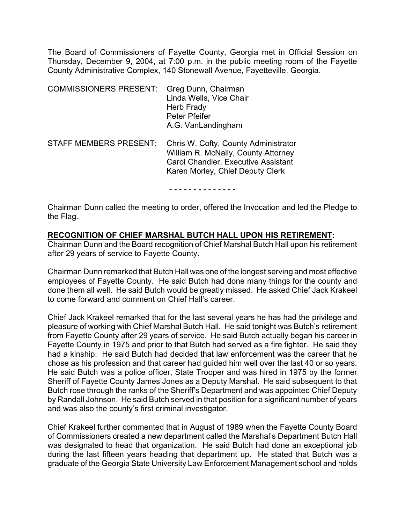The Board of Commissioners of Fayette County, Georgia met in Official Session on Thursday, December 9, 2004, at 7:00 p.m. in the public meeting room of the Fayette County Administrative Complex, 140 Stonewall Avenue, Fayetteville, Georgia.

| <b>COMMISSIONERS PRESENT:</b> | Greg Dunn, Chairman<br>Linda Wells, Vice Chair<br>Herb Frady<br>Peter Pfeifer<br>A.G. VanLandingham                                                           |
|-------------------------------|---------------------------------------------------------------------------------------------------------------------------------------------------------------|
| <b>STAFF MEMBERS PRESENT:</b> | Chris W. Cofty, County Administrator<br>William R. McNally, County Attorney<br><b>Carol Chandler, Executive Assistant</b><br>Karen Morley, Chief Deputy Clerk |

- - - - - - - - - - - - - -

Chairman Dunn called the meeting to order, offered the Invocation and led the Pledge to the Flag.

**RECOGNITION OF CHIEF MARSHAL BUTCH HALL UPON HIS RETIREMENT:** 

Chairman Dunn and the Board recognition of Chief Marshal Butch Hall upon his retirement after 29 years of service to Fayette County.

Chairman Dunn remarked that Butch Hall was one of the longest serving and most effective employees of Fayette County. He said Butch had done many things for the county and done them all well. He said Butch would be greatly missed. He asked Chief Jack Krakeel to come forward and comment on Chief Hall's career.

Chief Jack Krakeel remarked that for the last several years he has had the privilege and pleasure of working with Chief Marshal Butch Hall. He said tonight was Butch's retirement from Fayette County after 29 years of service. He said Butch actually began his career in Fayette County in 1975 and prior to that Butch had served as a fire fighter. He said they had a kinship. He said Butch had decided that law enforcement was the career that he chose as his profession and that career had guided him well over the last 40 or so years. He said Butch was a police officer, State Trooper and was hired in 1975 by the former Sheriff of Fayette County James Jones as a Deputy Marshal. He said subsequent to that Butch rose through the ranks of the Sheriff's Department and was appointed Chief Deputy by Randall Johnson. He said Butch served in that position for a significant number of years and was also the county's first criminal investigator.

Chief Krakeel further commented that in August of 1989 when the Fayette County Board of Commissioners created a new department called the Marshal's Department Butch Hall was designated to head that organization. He said Butch had done an exceptional job during the last fifteen years heading that department up. He stated that Butch was a graduate of the Georgia State University Law Enforcement Management school and holds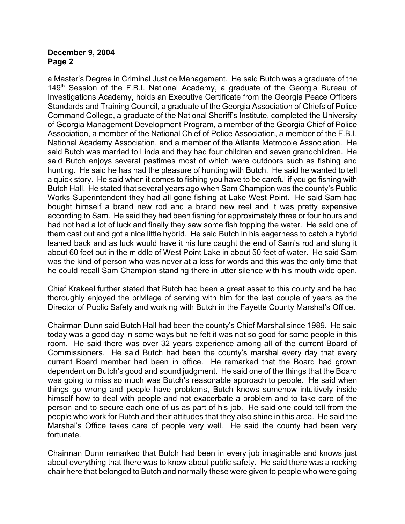a Master's Degree in Criminal Justice Management. He said Butch was a graduate of the 149<sup>th</sup> Session of the F.B.I. National Academy, a graduate of the Georgia Bureau of Investigations Academy, holds an Executive Certificate from the Georgia Peace Officers Standards and Training Council, a graduate of the Georgia Association of Chiefs of Police Command College, a graduate of the National Sheriff's Institute, completed the University of Georgia Management Development Program, a member of the Georgia Chief of Police Association, a member of the National Chief of Police Association, a member of the F.B.I. National Academy Association, and a member of the Atlanta Metropole Association. He said Butch was married to Linda and they had four children and seven grandchildren. He said Butch enjoys several pastimes most of which were outdoors such as fishing and hunting. He said he has had the pleasure of hunting with Butch. He said he wanted to tell a quick story. He said when it comes to fishing you have to be careful if you go fishing with Butch Hall. He stated that several years ago when Sam Champion was the county's Public Works Superintendent they had all gone fishing at Lake West Point. He said Sam had bought himself a brand new rod and a brand new reel and it was pretty expensive according to Sam. He said they had been fishing for approximately three or four hours and had not had a lot of luck and finally they saw some fish topping the water. He said one of them cast out and got a nice little hybrid. He said Butch in his eagerness to catch a hybrid leaned back and as luck would have it his lure caught the end of Sam's rod and slung it about 60 feet out in the middle of West Point Lake in about 50 feet of water. He said Sam was the kind of person who was never at a loss for words and this was the only time that he could recall Sam Champion standing there in utter silence with his mouth wide open.

Chief Krakeel further stated that Butch had been a great asset to this county and he had thoroughly enjoyed the privilege of serving with him for the last couple of years as the Director of Public Safety and working with Butch in the Fayette County Marshal's Office.

Chairman Dunn said Butch Hall had been the county's Chief Marshal since 1989. He said today was a good day in some ways but he felt it was not so good for some people in this room. He said there was over 32 years experience among all of the current Board of Commissioners. He said Butch had been the county's marshal every day that every current Board member had been in office. He remarked that the Board had grown dependent on Butch's good and sound judgment. He said one of the things that the Board was going to miss so much was Butch's reasonable approach to people. He said when things go wrong and people have problems, Butch knows somehow intuitively inside himself how to deal with people and not exacerbate a problem and to take care of the person and to secure each one of us as part of his job. He said one could tell from the people who work for Butch and their attitudes that they also shine in this area. He said the Marshal's Office takes care of people very well. He said the county had been very fortunate.

Chairman Dunn remarked that Butch had been in every job imaginable and knows just about everything that there was to know about public safety. He said there was a rocking chair here that belonged to Butch and normally these were given to people who were going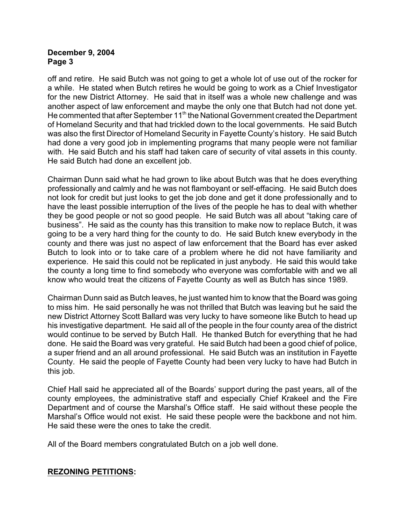off and retire. He said Butch was not going to get a whole lot of use out of the rocker for a while. He stated when Butch retires he would be going to work as a Chief Investigator for the new District Attorney. He said that in itself was a whole new challenge and was another aspect of law enforcement and maybe the only one that Butch had not done yet. He commented that after September 11<sup>th</sup> the National Government created the Department of Homeland Security and that had trickled down to the local governments. He said Butch was also the first Director of Homeland Security in Fayette County's history. He said Butch had done a very good job in implementing programs that many people were not familiar with. He said Butch and his staff had taken care of security of vital assets in this county. He said Butch had done an excellent job.

Chairman Dunn said what he had grown to like about Butch was that he does everything professionally and calmly and he was not flamboyant or self-effacing. He said Butch does not look for credit but just looks to get the job done and get it done professionally and to have the least possible interruption of the lives of the people he has to deal with whether they be good people or not so good people. He said Butch was all about "taking care of business". He said as the county has this transition to make now to replace Butch, it was going to be a very hard thing for the county to do. He said Butch knew everybody in the county and there was just no aspect of law enforcement that the Board has ever asked Butch to look into or to take care of a problem where he did not have familiarity and experience. He said this could not be replicated in just anybody. He said this would take the county a long time to find somebody who everyone was comfortable with and we all know who would treat the citizens of Fayette County as well as Butch has since 1989.

Chairman Dunn said as Butch leaves, he just wanted him to know that the Board was going to miss him. He said personally he was not thrilled that Butch was leaving but he said the new District Attorney Scott Ballard was very lucky to have someone like Butch to head up his investigative department. He said all of the people in the four county area of the district would continue to be served by Butch Hall. He thanked Butch for everything that he had done. He said the Board was very grateful. He said Butch had been a good chief of police, a super friend and an all around professional. He said Butch was an institution in Fayette County. He said the people of Fayette County had been very lucky to have had Butch in this job.

Chief Hall said he appreciated all of the Boards' support during the past years, all of the county employees, the administrative staff and especially Chief Krakeel and the Fire Department and of course the Marshal's Office staff. He said without these people the Marshal's Office would not exist. He said these people were the backbone and not him. He said these were the ones to take the credit.

All of the Board members congratulated Butch on a job well done.

# **REZONING PETITIONS:**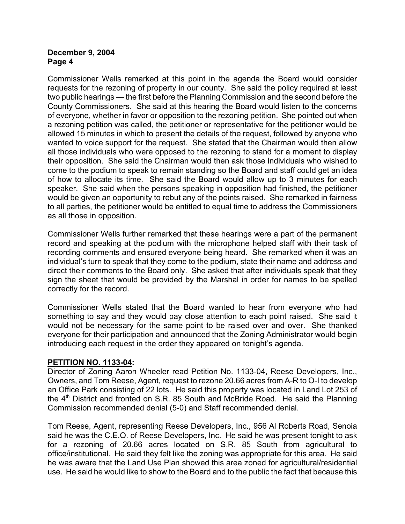Commissioner Wells remarked at this point in the agenda the Board would consider requests for the rezoning of property in our county. She said the policy required at least two public hearings — the first before the Planning Commission and the second before the County Commissioners. She said at this hearing the Board would listen to the concerns of everyone, whether in favor or opposition to the rezoning petition. She pointed out when a rezoning petition was called, the petitioner or representative for the petitioner would be allowed 15 minutes in which to present the details of the request, followed by anyone who wanted to voice support for the request. She stated that the Chairman would then allow all those individuals who were opposed to the rezoning to stand for a moment to display their opposition. She said the Chairman would then ask those individuals who wished to come to the podium to speak to remain standing so the Board and staff could get an idea of how to allocate its time. She said the Board would allow up to 3 minutes for each speaker. She said when the persons speaking in opposition had finished, the petitioner would be given an opportunity to rebut any of the points raised. She remarked in fairness to all parties, the petitioner would be entitled to equal time to address the Commissioners as all those in opposition.

Commissioner Wells further remarked that these hearings were a part of the permanent record and speaking at the podium with the microphone helped staff with their task of recording comments and ensured everyone being heard. She remarked when it was an individual's turn to speak that they come to the podium, state their name and address and direct their comments to the Board only. She asked that after individuals speak that they sign the sheet that would be provided by the Marshal in order for names to be spelled correctly for the record.

Commissioner Wells stated that the Board wanted to hear from everyone who had something to say and they would pay close attention to each point raised. She said it would not be necessary for the same point to be raised over and over. She thanked everyone for their participation and announced that the Zoning Administrator would begin introducing each request in the order they appeared on tonight's agenda.

#### **PETITION NO. 1133-04:**

Director of Zoning Aaron Wheeler read Petition No. 1133-04, Reese Developers, Inc., Owners, and Tom Reese, Agent, request to rezone 20.66 acres from A-R to O-I to develop an Office Park consisting of 22 lots. He said this property was located in Land Lot 253 of the  $4<sup>th</sup>$  District and fronted on S.R. 85 South and McBride Road. He said the Planning Commission recommended denial (5-0) and Staff recommended denial.

Tom Reese, Agent, representing Reese Developers, Inc., 956 Al Roberts Road, Senoia said he was the C.E.O. of Reese Developers, Inc. He said he was present tonight to ask for a rezoning of 20.66 acres located on S.R. 85 South from agricultural to office/institutional. He said they felt like the zoning was appropriate for this area. He said he was aware that the Land Use Plan showed this area zoned for agricultural/residential use. He said he would like to show to the Board and to the public the fact that because this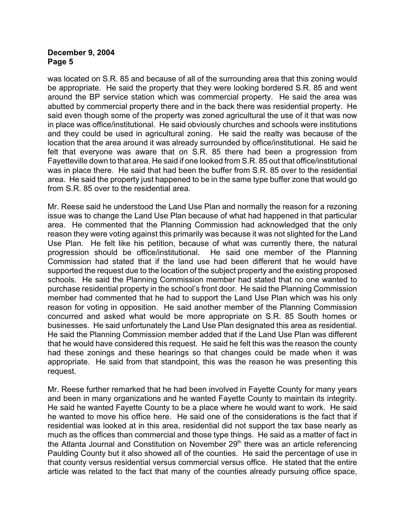was located on S.R. 85 and because of all of the surrounding area that this zoning would be appropriate. He said the property that they were looking bordered S.R. 85 and went around the BP service station which was commercial property. He said the area was abutted by commercial property there and in the back there was residential property. He said even though some of the property was zoned agricultural the use of it that was now in place was office/institutional. He said obviously churches and schools were institutions and they could be used in agricultural zoning. He said the realty was because of the location that the area around it was already surrounded by office/institutional. He said he felt that everyone was aware that on S.R. 85 there had been a progression from Fayetteville down to that area. He said if one looked from S.R. 85 out that office/institutional was in place there. He said that had been the buffer from S.R. 85 over to the residential area. He said the property just happened to be in the same type buffer zone that would go from S.R. 85 over to the residential area.

Mr. Reese said he understood the Land Use Plan and normally the reason for a rezoning issue was to change the Land Use Plan because of what had happened in that particular area. He commented that the Planning Commission had acknowledged that the only reason they were voting against this primarily was because it was not slighted for the Land Use Plan. He felt like his petition, because of what was currently there, the natural progression should be office/institutional. He said one member of the Planning Commission had stated that if the land use had been different that he would have supported the request due to the location of the subject property and the existing proposed schools. He said the Planning Commission member had stated that no one wanted to purchase residential property in the school's front door. He said the Planning Commission member had commented that he had to support the Land Use Plan which was his only reason for voting in opposition. He said another member of the Planning Commission concurred and asked what would be more appropriate on S.R. 85 South homes or businesses. He said unfortunately the Land Use Plan designated this area as residential. He said the Planning Commission member added that if the Land Use Plan was different that he would have considered this request. He said he felt this was the reason the county had these zonings and these hearings so that changes could be made when it was appropriate. He said from that standpoint, this was the reason he was presenting this request.

Mr. Reese further remarked that he had been involved in Fayette County for many years and been in many organizations and he wanted Fayette County to maintain its integrity. He said he wanted Fayette County to be a place where he would want to work. He said he wanted to move his office here. He said one of the considerations is the fact that if residential was looked at in this area, residential did not support the tax base nearly as much as the offices than commercial and those type things. He said as a matter of fact in the Atlanta Journal and Constitution on November  $29<sup>th</sup>$  there was an article referencing Paulding County but it also showed all of the counties. He said the percentage of use in that county versus residential versus commercial versus office. He stated that the entire article was related to the fact that many of the counties already pursuing office space,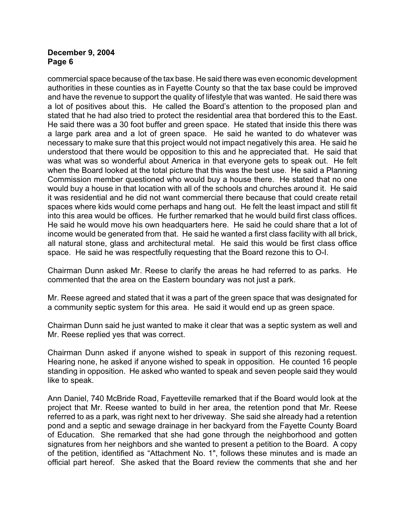commercial space because of the tax base. He said there was even economic development authorities in these counties as in Fayette County so that the tax base could be improved and have the revenue to support the quality of lifestyle that was wanted. He said there was a lot of positives about this. He called the Board's attention to the proposed plan and stated that he had also tried to protect the residential area that bordered this to the East. He said there was a 30 foot buffer and green space. He stated that inside this there was a large park area and a lot of green space. He said he wanted to do whatever was necessary to make sure that this project would not impact negatively this area. He said he understood that there would be opposition to this and he appreciated that. He said that was what was so wonderful about America in that everyone gets to speak out. He felt when the Board looked at the total picture that this was the best use. He said a Planning Commission member questioned who would buy a house there. He stated that no one would buy a house in that location with all of the schools and churches around it. He said it was residential and he did not want commercial there because that could create retail spaces where kids would come perhaps and hang out. He felt the least impact and still fit into this area would be offices. He further remarked that he would build first class offices. He said he would move his own headquarters here. He said he could share that a lot of income would be generated from that. He said he wanted a first class facility with all brick, all natural stone, glass and architectural metal. He said this would be first class office space. He said he was respectfully requesting that the Board rezone this to O-I.

Chairman Dunn asked Mr. Reese to clarify the areas he had referred to as parks. He commented that the area on the Eastern boundary was not just a park.

Mr. Reese agreed and stated that it was a part of the green space that was designated for a community septic system for this area. He said it would end up as green space.

Chairman Dunn said he just wanted to make it clear that was a septic system as well and Mr. Reese replied yes that was correct.

Chairman Dunn asked if anyone wished to speak in support of this rezoning request. Hearing none, he asked if anyone wished to speak in opposition. He counted 16 people standing in opposition. He asked who wanted to speak and seven people said they would like to speak.

Ann Daniel, 740 McBride Road, Fayetteville remarked that if the Board would look at the project that Mr. Reese wanted to build in her area, the retention pond that Mr. Reese referred to as a park, was right next to her driveway. She said she already had a retention pond and a septic and sewage drainage in her backyard from the Fayette County Board of Education. She remarked that she had gone through the neighborhood and gotten signatures from her neighbors and she wanted to present a petition to the Board. A copy of the petition, identified as "Attachment No. 1", follows these minutes and is made an official part hereof. She asked that the Board review the comments that she and her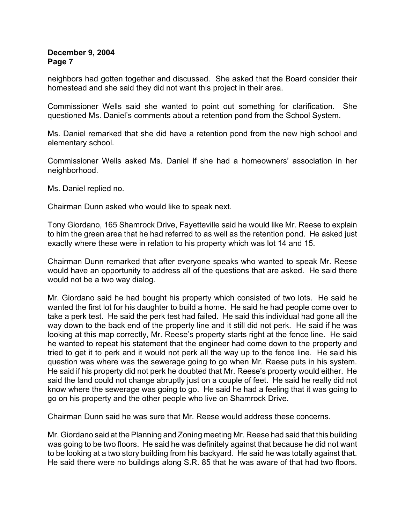neighbors had gotten together and discussed. She asked that the Board consider their homestead and she said they did not want this project in their area.

Commissioner Wells said she wanted to point out something for clarification. She questioned Ms. Daniel's comments about a retention pond from the School System.

Ms. Daniel remarked that she did have a retention pond from the new high school and elementary school.

Commissioner Wells asked Ms. Daniel if she had a homeowners' association in her neighborhood.

Ms. Daniel replied no.

Chairman Dunn asked who would like to speak next.

Tony Giordano, 165 Shamrock Drive, Fayetteville said he would like Mr. Reese to explain to him the green area that he had referred to as well as the retention pond. He asked just exactly where these were in relation to his property which was lot 14 and 15.

Chairman Dunn remarked that after everyone speaks who wanted to speak Mr. Reese would have an opportunity to address all of the questions that are asked. He said there would not be a two way dialog.

Mr. Giordano said he had bought his property which consisted of two lots. He said he wanted the first lot for his daughter to build a home. He said he had people come over to take a perk test. He said the perk test had failed. He said this individual had gone all the way down to the back end of the property line and it still did not perk. He said if he was looking at this map correctly, Mr. Reese's property starts right at the fence line. He said he wanted to repeat his statement that the engineer had come down to the property and tried to get it to perk and it would not perk all the way up to the fence line. He said his question was where was the sewerage going to go when Mr. Reese puts in his system. He said if his property did not perk he doubted that Mr. Reese's property would either. He said the land could not change abruptly just on a couple of feet. He said he really did not know where the sewerage was going to go. He said he had a feeling that it was going to go on his property and the other people who live on Shamrock Drive.

Chairman Dunn said he was sure that Mr. Reese would address these concerns.

Mr. Giordano said at the Planning and Zoning meeting Mr. Reese had said that this building was going to be two floors. He said he was definitely against that because he did not want to be looking at a two story building from his backyard. He said he was totally against that. He said there were no buildings along S.R. 85 that he was aware of that had two floors.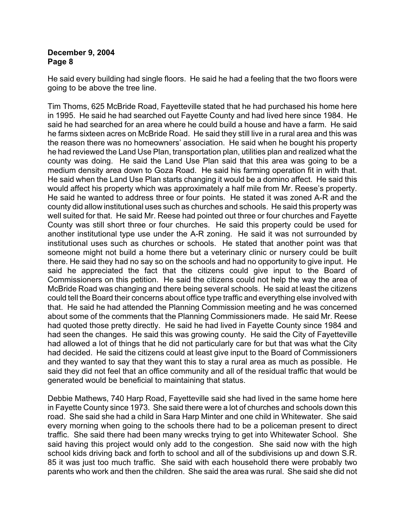He said every building had single floors. He said he had a feeling that the two floors were going to be above the tree line.

Tim Thoms, 625 McBride Road, Fayetteville stated that he had purchased his home here in 1995. He said he had searched out Fayette County and had lived here since 1984. He said he had searched for an area where he could build a house and have a farm. He said he farms sixteen acres on McBride Road. He said they still live in a rural area and this was the reason there was no homeowners' association. He said when he bought his property he had reviewed the Land Use Plan, transportation plan, utilities plan and realized what the county was doing. He said the Land Use Plan said that this area was going to be a medium density area down to Goza Road. He said his farming operation fit in with that. He said when the Land Use Plan starts changing it would be a domino affect. He said this would affect his property which was approximately a half mile from Mr. Reese's property. He said he wanted to address three or four points. He stated it was zoned A-R and the county did allow institutional uses such as churches and schools. He said this property was well suited for that. He said Mr. Reese had pointed out three or four churches and Fayette County was still short three or four churches. He said this property could be used for another institutional type use under the A-R zoning. He said it was not surrounded by institutional uses such as churches or schools. He stated that another point was that someone might not build a home there but a veterinary clinic or nursery could be built there. He said they had no say so on the schools and had no opportunity to give input. He said he appreciated the fact that the citizens could give input to the Board of Commissioners on this petition. He said the citizens could not help the way the area of McBride Road was changing and there being several schools. He said at least the citizens could tell the Board their concerns about office type traffic and everything else involved with that. He said he had attended the Planning Commission meeting and he was concerned about some of the comments that the Planning Commissioners made. He said Mr. Reese had quoted those pretty directly. He said he had lived in Fayette County since 1984 and had seen the changes. He said this was growing county. He said the City of Fayetteville had allowed a lot of things that he did not particularly care for but that was what the City had decided. He said the citizens could at least give input to the Board of Commissioners and they wanted to say that they want this to stay a rural area as much as possible. He said they did not feel that an office community and all of the residual traffic that would be generated would be beneficial to maintaining that status.

Debbie Mathews, 740 Harp Road, Fayetteville said she had lived in the same home here in Fayette County since 1973. She said there were a lot of churches and schools down this road. She said she had a child in Sara Harp Minter and one child in Whitewater. She said every morning when going to the schools there had to be a policeman present to direct traffic. She said there had been many wrecks trying to get into Whitewater School. She said having this project would only add to the congestion. She said now with the high school kids driving back and forth to school and all of the subdivisions up and down S.R. 85 it was just too much traffic. She said with each household there were probably two parents who work and then the children. She said the area was rural. She said she did not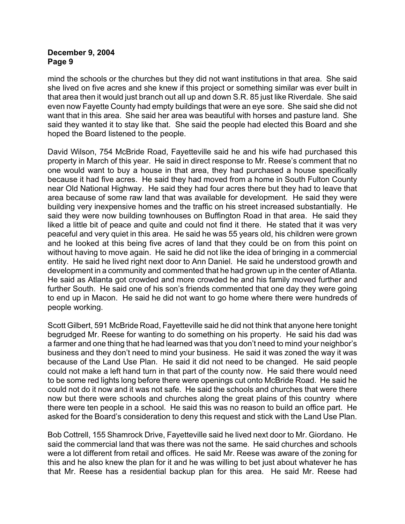mind the schools or the churches but they did not want institutions in that area. She said she lived on five acres and she knew if this project or something similar was ever built in that area then it would just branch out all up and down S.R. 85 just like Riverdale. She said even now Fayette County had empty buildings that were an eye sore. She said she did not want that in this area. She said her area was beautiful with horses and pasture land. She said they wanted it to stay like that. She said the people had elected this Board and she hoped the Board listened to the people.

David Wilson, 754 McBride Road, Fayetteville said he and his wife had purchased this property in March of this year. He said in direct response to Mr. Reese's comment that no one would want to buy a house in that area, they had purchased a house specifically because it had five acres. He said they had moved from a home in South Fulton County near Old National Highway. He said they had four acres there but they had to leave that area because of some raw land that was available for development. He said they were building very inexpensive homes and the traffic on his street increased substantially. He said they were now building townhouses on Buffington Road in that area. He said they liked a little bit of peace and quite and could not find it there. He stated that it was very peaceful and very quiet in this area. He said he was 55 years old, his children were grown and he looked at this being five acres of land that they could be on from this point on without having to move again. He said he did not like the idea of bringing in a commercial entity. He said he lived right next door to Ann Daniel. He said he understood growth and development in a community and commented that he had grown up in the center of Atlanta. He said as Atlanta got crowded and more crowded he and his family moved further and further South. He said one of his son's friends commented that one day they were going to end up in Macon. He said he did not want to go home where there were hundreds of people working.

Scott Gilbert, 591 McBride Road, Fayetteville said he did not think that anyone here tonight begrudged Mr. Reese for wanting to do something on his property. He said his dad was a farmer and one thing that he had learned was that you don't need to mind your neighbor's business and they don't need to mind your business. He said it was zoned the way it was because of the Land Use Plan. He said it did not need to be changed. He said people could not make a left hand turn in that part of the county now. He said there would need to be some red lights long before there were openings cut onto McBride Road. He said he could not do it now and it was not safe. He said the schools and churches that were there now but there were schools and churches along the great plains of this country where there were ten people in a school. He said this was no reason to build an office part. He asked for the Board's consideration to deny this request and stick with the Land Use Plan.

Bob Cottrell, 155 Shamrock Drive, Fayetteville said he lived next door to Mr. Giordano. He said the commercial land that was there was not the same. He said churches and schools were a lot different from retail and offices. He said Mr. Reese was aware of the zoning for this and he also knew the plan for it and he was willing to bet just about whatever he has that Mr. Reese has a residential backup plan for this area. He said Mr. Reese had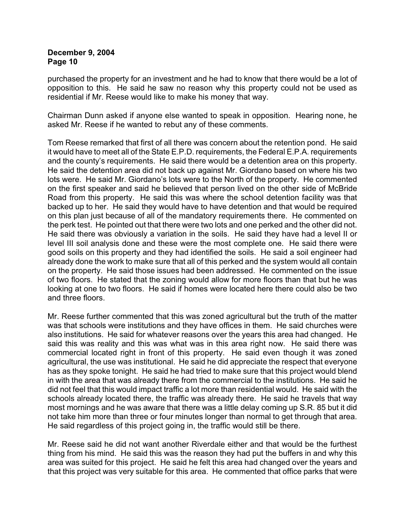purchased the property for an investment and he had to know that there would be a lot of opposition to this. He said he saw no reason why this property could not be used as residential if Mr. Reese would like to make his money that way.

Chairman Dunn asked if anyone else wanted to speak in opposition. Hearing none, he asked Mr. Reese if he wanted to rebut any of these comments.

Tom Reese remarked that first of all there was concern about the retention pond. He said it would have to meet all of the State E.P.D. requirements, the Federal E.P.A. requirements and the county's requirements. He said there would be a detention area on this property. He said the detention area did not back up against Mr. Giordano based on where his two lots were. He said Mr. Giordano's lots were to the North of the property. He commented on the first speaker and said he believed that person lived on the other side of McBride Road from this property. He said this was where the school detention facility was that backed up to her. He said they would have to have detention and that would be required on this plan just because of all of the mandatory requirements there. He commented on the perk test. He pointed out that there were two lots and one perked and the other did not. He said there was obviously a variation in the soils. He said they have had a level II or level III soil analysis done and these were the most complete one. He said there were good soils on this property and they had identified the soils. He said a soil engineer had already done the work to make sure that all of this perked and the system would all contain on the property. He said those issues had been addressed. He commented on the issue of two floors. He stated that the zoning would allow for more floors than that but he was looking at one to two floors. He said if homes were located here there could also be two and three floors.

Mr. Reese further commented that this was zoned agricultural but the truth of the matter was that schools were institutions and they have offices in them. He said churches were also institutions. He said for whatever reasons over the years this area had changed. He said this was reality and this was what was in this area right now. He said there was commercial located right in front of this property. He said even though it was zoned agricultural, the use was institutional. He said he did appreciate the respect that everyone has as they spoke tonight. He said he had tried to make sure that this project would blend in with the area that was already there from the commercial to the institutions. He said he did not feel that this would impact traffic a lot more than residential would. He said with the schools already located there, the traffic was already there. He said he travels that way most mornings and he was aware that there was a little delay coming up S.R. 85 but it did not take him more than three or four minutes longer than normal to get through that area. He said regardless of this project going in, the traffic would still be there.

Mr. Reese said he did not want another Riverdale either and that would be the furthest thing from his mind. He said this was the reason they had put the buffers in and why this area was suited for this project. He said he felt this area had changed over the years and that this project was very suitable for this area. He commented that office parks that were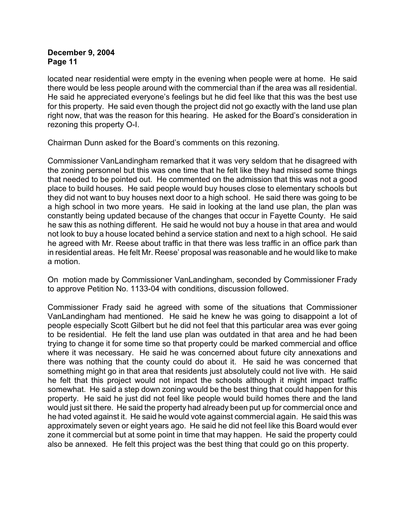located near residential were empty in the evening when people were at home. He said there would be less people around with the commercial than if the area was all residential. He said he appreciated everyone's feelings but he did feel like that this was the best use for this property. He said even though the project did not go exactly with the land use plan right now, that was the reason for this hearing. He asked for the Board's consideration in rezoning this property O-I.

Chairman Dunn asked for the Board's comments on this rezoning.

Commissioner VanLandingham remarked that it was very seldom that he disagreed with the zoning personnel but this was one time that he felt like they had missed some things that needed to be pointed out. He commented on the admission that this was not a good place to build houses. He said people would buy houses close to elementary schools but they did not want to buy houses next door to a high school. He said there was going to be a high school in two more years. He said in looking at the land use plan, the plan was constantly being updated because of the changes that occur in Fayette County. He said he saw this as nothing different. He said he would not buy a house in that area and would not look to buy a house located behind a service station and next to a high school. He said he agreed with Mr. Reese about traffic in that there was less traffic in an office park than in residential areas. He felt Mr. Reese' proposal was reasonable and he would like to make a motion.

On motion made by Commissioner VanLandingham, seconded by Commissioner Frady to approve Petition No. 1133-04 with conditions, discussion followed.

Commissioner Frady said he agreed with some of the situations that Commissioner VanLandingham had mentioned. He said he knew he was going to disappoint a lot of people especially Scott Gilbert but he did not feel that this particular area was ever going to be residential. He felt the land use plan was outdated in that area and he had been trying to change it for some time so that property could be marked commercial and office where it was necessary. He said he was concerned about future city annexations and there was nothing that the county could do about it. He said he was concerned that something might go in that area that residents just absolutely could not live with. He said he felt that this project would not impact the schools although it might impact traffic somewhat. He said a step down zoning would be the best thing that could happen for this property. He said he just did not feel like people would build homes there and the land would just sit there. He said the property had already been put up for commercial once and he had voted against it. He said he would vote against commercial again. He said this was approximately seven or eight years ago. He said he did not feel like this Board would ever zone it commercial but at some point in time that may happen. He said the property could also be annexed. He felt this project was the best thing that could go on this property.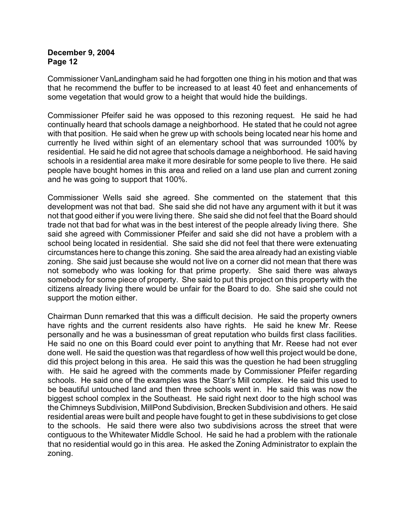Commissioner VanLandingham said he had forgotten one thing in his motion and that was that he recommend the buffer to be increased to at least 40 feet and enhancements of some vegetation that would grow to a height that would hide the buildings.

Commissioner Pfeifer said he was opposed to this rezoning request. He said he had continually heard that schools damage a neighborhood. He stated that he could not agree with that position. He said when he grew up with schools being located near his home and currently he lived within sight of an elementary school that was surrounded 100% by residential. He said he did not agree that schools damage a neighborhood. He said having schools in a residential area make it more desirable for some people to live there. He said people have bought homes in this area and relied on a land use plan and current zoning and he was going to support that 100%.

Commissioner Wells said she agreed. She commented on the statement that this development was not that bad. She said she did not have any argument with it but it was not that good either if you were living there. She said she did not feel that the Board should trade not that bad for what was in the best interest of the people already living there. She said she agreed with Commissioner Pfeifer and said she did not have a problem with a school being located in residential. She said she did not feel that there were extenuating circumstances here to change this zoning. She said the area already had an existing viable zoning. She said just because she would not live on a corner did not mean that there was not somebody who was looking for that prime property. She said there was always somebody for some piece of property. She said to put this project on this property with the citizens already living there would be unfair for the Board to do. She said she could not support the motion either.

Chairman Dunn remarked that this was a difficult decision. He said the property owners have rights and the current residents also have rights. He said he knew Mr. Reese personally and he was a businessman of great reputation who builds first class facilities. He said no one on this Board could ever point to anything that Mr. Reese had not ever done well. He said the question was that regardless of how well this project would be done, did this project belong in this area. He said this was the question he had been struggling with. He said he agreed with the comments made by Commissioner Pfeifer regarding schools. He said one of the examples was the Starr's Mill complex. He said this used to be beautiful untouched land and then three schools went in. He said this was now the biggest school complex in the Southeast. He said right next door to the high school was the Chimneys Subdivision, MillPond Subdivision, Brecken Subdivision and others. He said residential areas were built and people have fought to get in these subdivisions to get close to the schools. He said there were also two subdivisions across the street that were contiguous to the Whitewater Middle School. He said he had a problem with the rationale that no residential would go in this area. He asked the Zoning Administrator to explain the zoning.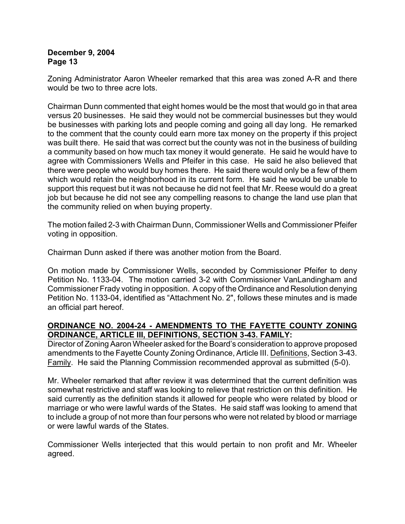Zoning Administrator Aaron Wheeler remarked that this area was zoned A-R and there would be two to three acre lots.

Chairman Dunn commented that eight homes would be the most that would go in that area versus 20 businesses. He said they would not be commercial businesses but they would be businesses with parking lots and people coming and going all day long. He remarked to the comment that the county could earn more tax money on the property if this project was built there. He said that was correct but the county was not in the business of building a community based on how much tax money it would generate. He said he would have to agree with Commissioners Wells and Pfeifer in this case. He said he also believed that there were people who would buy homes there. He said there would only be a few of them which would retain the neighborhood in its current form. He said he would be unable to support this request but it was not because he did not feel that Mr. Reese would do a great job but because he did not see any compelling reasons to change the land use plan that the community relied on when buying property.

The motion failed 2-3 with Chairman Dunn, Commissioner Wells and Commissioner Pfeifer voting in opposition.

Chairman Dunn asked if there was another motion from the Board.

On motion made by Commissioner Wells, seconded by Commissioner Pfeifer to deny Petition No. 1133-04. The motion carried 3-2 with Commissioner VanLandingham and Commissioner Frady voting in opposition. A copy of the Ordinance and Resolution denying Petition No. 1133-04, identified as "Attachment No. 2", follows these minutes and is made an official part hereof.

# **ORDINANCE NO. 2004-24 - AMENDMENTS TO THE FAYETTE COUNTY ZONING ORDINANCE, ARTICLE III, DEFINITIONS, SECTION 3-43. FAMILY:**

Director of Zoning Aaron Wheeler asked for the Board's consideration to approve proposed amendments to the Fayette County Zoning Ordinance, Article III. Definitions, Section 3-43. Family. He said the Planning Commission recommended approval as submitted (5-0).

Mr. Wheeler remarked that after review it was determined that the current definition was somewhat restrictive and staff was looking to relieve that restriction on this definition. He said currently as the definition stands it allowed for people who were related by blood or marriage or who were lawful wards of the States. He said staff was looking to amend that to include a group of not more than four persons who were not related by blood or marriage or were lawful wards of the States.

Commissioner Wells interjected that this would pertain to non profit and Mr. Wheeler agreed.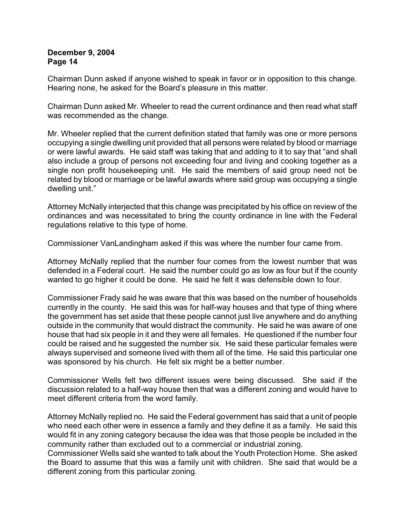Chairman Dunn asked if anyone wished to speak in favor or in opposition to this change. Hearing none, he asked for the Board's pleasure in this matter.

Chairman Dunn asked Mr. Wheeler to read the current ordinance and then read what staff was recommended as the change.

Mr. Wheeler replied that the current definition stated that family was one or more persons occupying a single dwelling unit provided that all persons were related by blood or marriage or were lawful awards. He said staff was taking that and adding to it to say that "and shall also include a group of persons not exceeding four and living and cooking together as a single non profit housekeeping unit. He said the members of said group need not be related by blood or marriage or be lawful awards where said group was occupying a single dwelling unit."

Attorney McNally interjected that this change was precipitated by his office on review of the ordinances and was necessitated to bring the county ordinance in line with the Federal regulations relative to this type of home.

Commissioner VanLandingham asked if this was where the number four came from.

Attorney McNally replied that the number four comes from the lowest number that was defended in a Federal court. He said the number could go as low as four but if the county wanted to go higher it could be done. He said he felt it was defensible down to four.

Commissioner Frady said he was aware that this was based on the number of households currently in the county. He said this was for half-way houses and that type of thing where the government has set aside that these people cannot just live anywhere and do anything outside in the community that would distract the community. He said he was aware of one house that had six people in it and they were all females. He questioned if the number four could be raised and he suggested the number six. He said these particular females were always supervised and someone lived with them all of the time. He said this particular one was sponsored by his church. He felt six might be a better number.

Commissioner Wells felt two different issues were being discussed. She said if the discussion related to a half-way house then that was a different zoning and would have to meet different criteria from the word family.

Attorney McNally replied no. He said the Federal government has said that a unit of people who need each other were in essence a family and they define it as a family. He said this would fit in any zoning category because the idea was that those people be included in the community rather than excluded out to a commercial or industrial zoning.

Commissioner Wells said she wanted to talk about the Youth Protection Home. She asked the Board to assume that this was a family unit with children. She said that would be a different zoning from this particular zoning.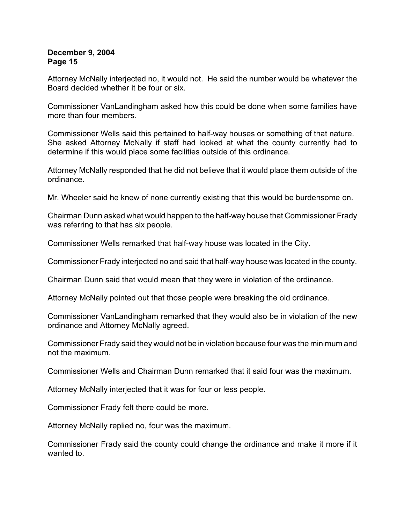Attorney McNally interjected no, it would not. He said the number would be whatever the Board decided whether it be four or six.

Commissioner VanLandingham asked how this could be done when some families have more than four members.

Commissioner Wells said this pertained to half-way houses or something of that nature. She asked Attorney McNally if staff had looked at what the county currently had to determine if this would place some facilities outside of this ordinance.

Attorney McNally responded that he did not believe that it would place them outside of the ordinance.

Mr. Wheeler said he knew of none currently existing that this would be burdensome on.

Chairman Dunn asked what would happen to the half-way house that Commissioner Frady was referring to that has six people.

Commissioner Wells remarked that half-way house was located in the City.

Commissioner Frady interjected no and said that half-way house was located in the county.

Chairman Dunn said that would mean that they were in violation of the ordinance.

Attorney McNally pointed out that those people were breaking the old ordinance.

Commissioner VanLandingham remarked that they would also be in violation of the new ordinance and Attorney McNally agreed.

Commissioner Frady said they would not be in violation because four was the minimum and not the maximum.

Commissioner Wells and Chairman Dunn remarked that it said four was the maximum.

Attorney McNally interjected that it was for four or less people.

Commissioner Frady felt there could be more.

Attorney McNally replied no, four was the maximum.

Commissioner Frady said the county could change the ordinance and make it more if it wanted to.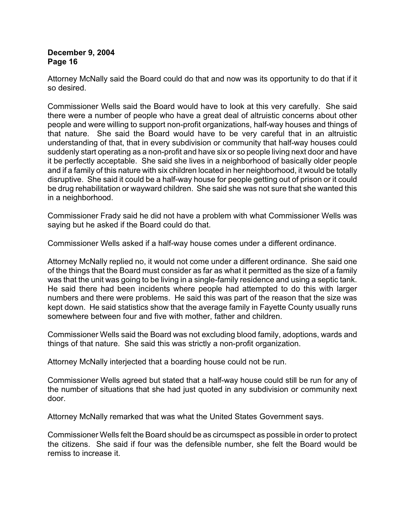Attorney McNally said the Board could do that and now was its opportunity to do that if it so desired.

Commissioner Wells said the Board would have to look at this very carefully. She said there were a number of people who have a great deal of altruistic concerns about other people and were willing to support non-profit organizations, half-way houses and things of that nature. She said the Board would have to be very careful that in an altruistic understanding of that, that in every subdivision or community that half-way houses could suddenly start operating as a non-profit and have six or so people living next door and have it be perfectly acceptable. She said she lives in a neighborhood of basically older people and if a family of this nature with six children located in her neighborhood, it would be totally disruptive. She said it could be a half-way house for people getting out of prison or it could be drug rehabilitation or wayward children. She said she was not sure that she wanted this in a neighborhood.

Commissioner Frady said he did not have a problem with what Commissioner Wells was saying but he asked if the Board could do that.

Commissioner Wells asked if a half-way house comes under a different ordinance.

Attorney McNally replied no, it would not come under a different ordinance. She said one of the things that the Board must consider as far as what it permitted as the size of a family was that the unit was going to be living in a single-family residence and using a septic tank. He said there had been incidents where people had attempted to do this with larger numbers and there were problems. He said this was part of the reason that the size was kept down. He said statistics show that the average family in Fayette County usually runs somewhere between four and five with mother, father and children.

Commissioner Wells said the Board was not excluding blood family, adoptions, wards and things of that nature. She said this was strictly a non-profit organization.

Attorney McNally interjected that a boarding house could not be run.

Commissioner Wells agreed but stated that a half-way house could still be run for any of the number of situations that she had just quoted in any subdivision or community next door.

Attorney McNally remarked that was what the United States Government says.

Commissioner Wells felt the Board should be as circumspect as possible in order to protect the citizens. She said if four was the defensible number, she felt the Board would be remiss to increase it.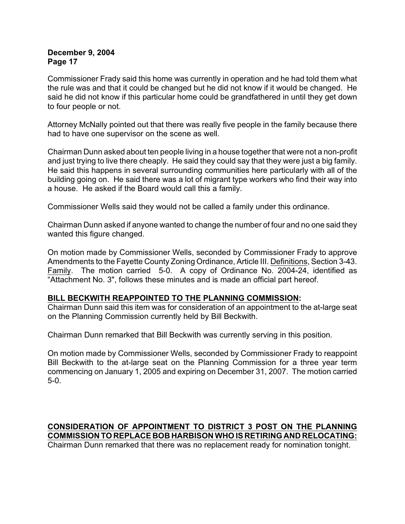Commissioner Frady said this home was currently in operation and he had told them what the rule was and that it could be changed but he did not know if it would be changed. He said he did not know if this particular home could be grandfathered in until they get down to four people or not.

Attorney McNally pointed out that there was really five people in the family because there had to have one supervisor on the scene as well.

Chairman Dunn asked about ten people living in a house together that were not a non-profit and just trying to live there cheaply. He said they could say that they were just a big family. He said this happens in several surrounding communities here particularly with all of the building going on. He said there was a lot of migrant type workers who find their way into a house. He asked if the Board would call this a family.

Commissioner Wells said they would not be called a family under this ordinance.

Chairman Dunn asked if anyone wanted to change the number of four and no one said they wanted this figure changed.

On motion made by Commissioner Wells, seconded by Commissioner Frady to approve Amendments to the Fayette County Zoning Ordinance, Article III. Definitions, Section 3-43. Family. The motion carried 5-0. A copy of Ordinance No. 2004-24, identified as "Attachment No. 3", follows these minutes and is made an official part hereof.

#### **BILL BECKWITH REAPPOINTED TO THE PLANNING COMMISSION:**

Chairman Dunn said this item was for consideration of an appointment to the at-large seat on the Planning Commission currently held by Bill Beckwith.

Chairman Dunn remarked that Bill Beckwith was currently serving in this position.

On motion made by Commissioner Wells, seconded by Commissioner Frady to reappoint Bill Beckwith to the at-large seat on the Planning Commission for a three year term commencing on January 1, 2005 and expiring on December 31, 2007. The motion carried 5-0.

# **CONSIDERATION OF APPOINTMENT TO DISTRICT 3 POST ON THE PLANNING COMMISSION TO REPLACE BOB HARBISON WHO IS RETIRING AND RELOCATING:**

Chairman Dunn remarked that there was no replacement ready for nomination tonight.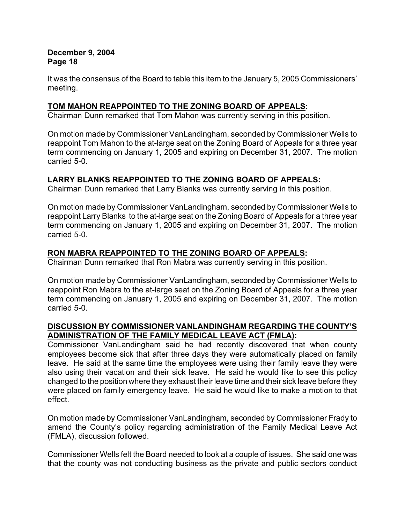It was the consensus of the Board to table this item to the January 5, 2005 Commissioners' meeting.

# **TOM MAHON REAPPOINTED TO THE ZONING BOARD OF APPEALS:**

Chairman Dunn remarked that Tom Mahon was currently serving in this position.

On motion made by Commissioner VanLandingham, seconded by Commissioner Wells to reappoint Tom Mahon to the at-large seat on the Zoning Board of Appeals for a three year term commencing on January 1, 2005 and expiring on December 31, 2007. The motion carried 5-0.

# **LARRY BLANKS REAPPOINTED TO THE ZONING BOARD OF APPEALS:**

Chairman Dunn remarked that Larry Blanks was currently serving in this position.

On motion made by Commissioner VanLandingham, seconded by Commissioner Wells to reappoint Larry Blanks to the at-large seat on the Zoning Board of Appeals for a three year term commencing on January 1, 2005 and expiring on December 31, 2007. The motion carried 5-0.

# **RON MABRA REAPPOINTED TO THE ZONING BOARD OF APPEALS:**

Chairman Dunn remarked that Ron Mabra was currently serving in this position.

On motion made by Commissioner VanLandingham, seconded by Commissioner Wells to reappoint Ron Mabra to the at-large seat on the Zoning Board of Appeals for a three year term commencing on January 1, 2005 and expiring on December 31, 2007. The motion carried 5-0.

# **DISCUSSION BY COMMISSIONER VANLANDINGHAM REGARDING THE COUNTY'S ADMINISTRATION OF THE FAMILY MEDICAL LEAVE ACT (FMLA):**

Commissioner VanLandingham said he had recently discovered that when county employees become sick that after three days they were automatically placed on family leave. He said at the same time the employees were using their family leave they were also using their vacation and their sick leave. He said he would like to see this policy changed to the position where they exhaust their leave time and their sick leave before they were placed on family emergency leave. He said he would like to make a motion to that effect.

On motion made by Commissioner VanLandingham, seconded by Commissioner Frady to amend the County's policy regarding administration of the Family Medical Leave Act (FMLA), discussion followed.

Commissioner Wells felt the Board needed to look at a couple of issues. She said one was that the county was not conducting business as the private and public sectors conduct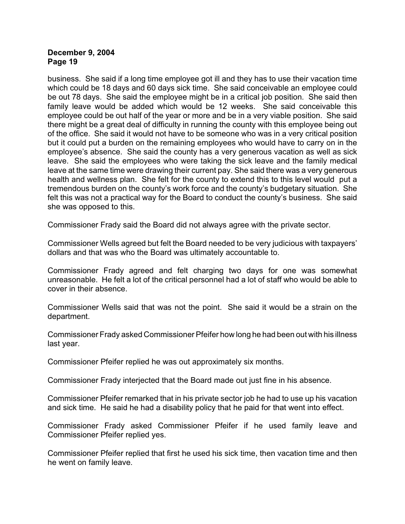business. She said if a long time employee got ill and they has to use their vacation time which could be 18 days and 60 days sick time. She said conceivable an employee could be out 78 days. She said the employee might be in a critical job position. She said then family leave would be added which would be 12 weeks. She said conceivable this employee could be out half of the year or more and be in a very viable position. She said there might be a great deal of difficulty in running the county with this employee being out of the office. She said it would not have to be someone who was in a very critical position but it could put a burden on the remaining employees who would have to carry on in the employee's absence. She said the county has a very generous vacation as well as sick leave. She said the employees who were taking the sick leave and the family medical leave at the same time were drawing their current pay. She said there was a very generous health and wellness plan. She felt for the county to extend this to this level would put a tremendous burden on the county's work force and the county's budgetary situation. She felt this was not a practical way for the Board to conduct the county's business. She said she was opposed to this.

Commissioner Frady said the Board did not always agree with the private sector.

Commissioner Wells agreed but felt the Board needed to be very judicious with taxpayers' dollars and that was who the Board was ultimately accountable to.

Commissioner Frady agreed and felt charging two days for one was somewhat unreasonable. He felt a lot of the critical personnel had a lot of staff who would be able to cover in their absence.

Commissioner Wells said that was not the point. She said it would be a strain on the department.

Commissioner Frady asked Commissioner Pfeifer how long he had been out with his illness last year.

Commissioner Pfeifer replied he was out approximately six months.

Commissioner Frady interjected that the Board made out just fine in his absence.

Commissioner Pfeifer remarked that in his private sector job he had to use up his vacation and sick time. He said he had a disability policy that he paid for that went into effect.

Commissioner Frady asked Commissioner Pfeifer if he used family leave and Commissioner Pfeifer replied yes.

Commissioner Pfeifer replied that first he used his sick time, then vacation time and then he went on family leave.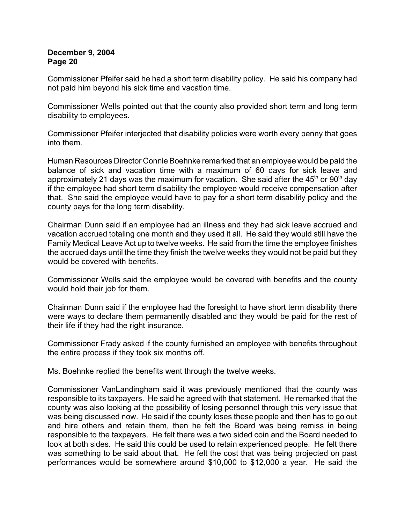Commissioner Pfeifer said he had a short term disability policy. He said his company had not paid him beyond his sick time and vacation time.

Commissioner Wells pointed out that the county also provided short term and long term disability to employees.

Commissioner Pfeifer interjected that disability policies were worth every penny that goes into them.

Human Resources Director Connie Boehnke remarked that an employee would be paid the balance of sick and vacation time with a maximum of 60 days for sick leave and approximately 21 days was the maximum for vacation. She said after the  $45<sup>th</sup>$  or  $90<sup>th</sup>$  day if the employee had short term disability the employee would receive compensation after that. She said the employee would have to pay for a short term disability policy and the county pays for the long term disability.

Chairman Dunn said if an employee had an illness and they had sick leave accrued and vacation accrued totaling one month and they used it all. He said they would still have the Family Medical Leave Act up to twelve weeks. He said from the time the employee finishes the accrued days until the time they finish the twelve weeks they would not be paid but they would be covered with benefits.

Commissioner Wells said the employee would be covered with benefits and the county would hold their job for them.

Chairman Dunn said if the employee had the foresight to have short term disability there were ways to declare them permanently disabled and they would be paid for the rest of their life if they had the right insurance.

Commissioner Frady asked if the county furnished an employee with benefits throughout the entire process if they took six months off.

Ms. Boehnke replied the benefits went through the twelve weeks.

Commissioner VanLandingham said it was previously mentioned that the county was responsible to its taxpayers. He said he agreed with that statement. He remarked that the county was also looking at the possibility of losing personnel through this very issue that was being discussed now. He said if the county loses these people and then has to go out and hire others and retain them, then he felt the Board was being remiss in being responsible to the taxpayers. He felt there was a two sided coin and the Board needed to look at both sides. He said this could be used to retain experienced people. He felt there was something to be said about that. He felt the cost that was being projected on past performances would be somewhere around \$10,000 to \$12,000 a year. He said the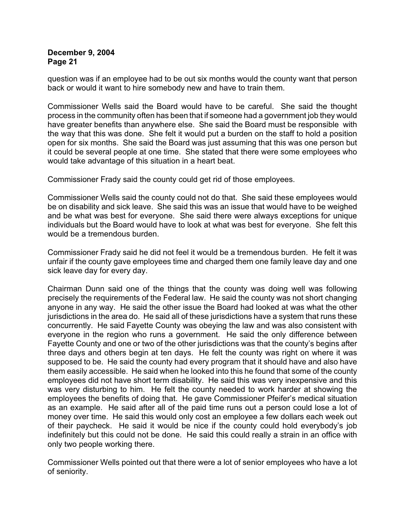question was if an employee had to be out six months would the county want that person back or would it want to hire somebody new and have to train them.

Commissioner Wells said the Board would have to be careful. She said the thought process in the community often has been that if someone had a government job they would have greater benefits than anywhere else. She said the Board must be responsible with the way that this was done. She felt it would put a burden on the staff to hold a position open for six months. She said the Board was just assuming that this was one person but it could be several people at one time. She stated that there were some employees who would take advantage of this situation in a heart beat.

Commissioner Frady said the county could get rid of those employees.

Commissioner Wells said the county could not do that. She said these employees would be on disability and sick leave. She said this was an issue that would have to be weighed and be what was best for everyone. She said there were always exceptions for unique individuals but the Board would have to look at what was best for everyone. She felt this would be a tremendous burden.

Commissioner Frady said he did not feel it would be a tremendous burden. He felt it was unfair if the county gave employees time and charged them one family leave day and one sick leave day for every day.

Chairman Dunn said one of the things that the county was doing well was following precisely the requirements of the Federal law. He said the county was not short changing anyone in any way. He said the other issue the Board had looked at was what the other jurisdictions in the area do. He said all of these jurisdictions have a system that runs these concurrently. He said Fayette County was obeying the law and was also consistent with everyone in the region who runs a government. He said the only difference between Fayette County and one or two of the other jurisdictions was that the county's begins after three days and others begin at ten days. He felt the county was right on where it was supposed to be. He said the county had every program that it should have and also have them easily accessible. He said when he looked into this he found that some of the county employees did not have short term disability. He said this was very inexpensive and this was very disturbing to him. He felt the county needed to work harder at showing the employees the benefits of doing that. He gave Commissioner Pfeifer's medical situation as an example. He said after all of the paid time runs out a person could lose a lot of money over time. He said this would only cost an employee a few dollars each week out of their paycheck. He said it would be nice if the county could hold everybody's job indefinitely but this could not be done. He said this could really a strain in an office with only two people working there.

Commissioner Wells pointed out that there were a lot of senior employees who have a lot of seniority.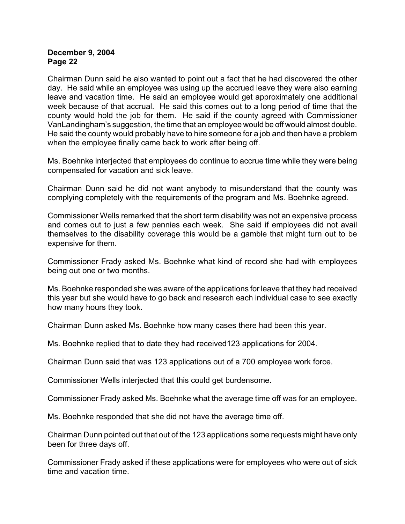Chairman Dunn said he also wanted to point out a fact that he had discovered the other day. He said while an employee was using up the accrued leave they were also earning leave and vacation time. He said an employee would get approximately one additional week because of that accrual. He said this comes out to a long period of time that the county would hold the job for them. He said if the county agreed with Commissioner VanLandingham's suggestion, the time that an employee would be off would almost double. He said the county would probably have to hire someone for a job and then have a problem when the employee finally came back to work after being off.

Ms. Boehnke interjected that employees do continue to accrue time while they were being compensated for vacation and sick leave.

Chairman Dunn said he did not want anybody to misunderstand that the county was complying completely with the requirements of the program and Ms. Boehnke agreed.

Commissioner Wells remarked that the short term disability was not an expensive process and comes out to just a few pennies each week. She said if employees did not avail themselves to the disability coverage this would be a gamble that might turn out to be expensive for them.

Commissioner Frady asked Ms. Boehnke what kind of record she had with employees being out one or two months.

Ms. Boehnke responded she was aware of the applications for leave that they had received this year but she would have to go back and research each individual case to see exactly how many hours they took.

Chairman Dunn asked Ms. Boehnke how many cases there had been this year.

Ms. Boehnke replied that to date they had received123 applications for 2004.

Chairman Dunn said that was 123 applications out of a 700 employee work force.

Commissioner Wells interjected that this could get burdensome.

Commissioner Frady asked Ms. Boehnke what the average time off was for an employee.

Ms. Boehnke responded that she did not have the average time off.

Chairman Dunn pointed out that out of the 123 applications some requests might have only been for three days off.

Commissioner Frady asked if these applications were for employees who were out of sick time and vacation time.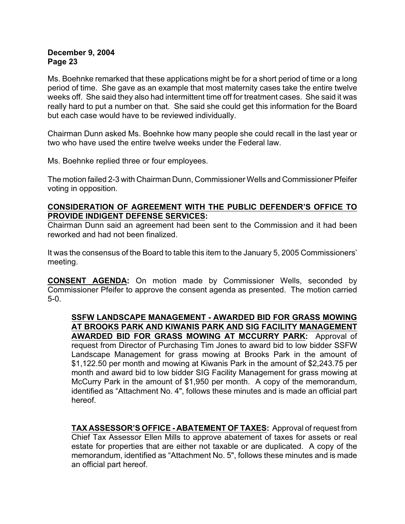Ms. Boehnke remarked that these applications might be for a short period of time or a long period of time. She gave as an example that most maternity cases take the entire twelve weeks off. She said they also had intermittent time off for treatment cases. She said it was really hard to put a number on that. She said she could get this information for the Board but each case would have to be reviewed individually.

Chairman Dunn asked Ms. Boehnke how many people she could recall in the last year or two who have used the entire twelve weeks under the Federal law.

Ms. Boehnke replied three or four employees.

The motion failed 2-3 with Chairman Dunn, Commissioner Wells and Commissioner Pfeifer voting in opposition.

#### **CONSIDERATION OF AGREEMENT WITH THE PUBLIC DEFENDER'S OFFICE TO PROVIDE INDIGENT DEFENSE SERVICES:**

Chairman Dunn said an agreement had been sent to the Commission and it had been reworked and had not been finalized.

It was the consensus of the Board to table this item to the January 5, 2005 Commissioners' meeting.

**CONSENT AGENDA:** On motion made by Commissioner Wells, seconded by Commissioner Pfeifer to approve the consent agenda as presented. The motion carried 5-0.

**SSFW LANDSCAPE MANAGEMENT - AWARDED BID FOR GRASS MOWING AT BROOKS PARK AND KIWANIS PARK AND SIG FACILITY MANAGEMENT AWARDED BID FOR GRASS MOWING AT MCCURRY PARK:** Approval of request from Director of Purchasing Tim Jones to award bid to low bidder SSFW Landscape Management for grass mowing at Brooks Park in the amount of \$1,122.50 per month and mowing at Kiwanis Park in the amount of \$2,243.75 per month and award bid to low bidder SIG Facility Management for grass mowing at McCurry Park in the amount of \$1,950 per month. A copy of the memorandum, identified as "Attachment No. 4", follows these minutes and is made an official part hereof.

**TAX ASSESSOR'S OFFICE - ABATEMENT OF TAXES:** Approval of request from Chief Tax Assessor Ellen Mills to approve abatement of taxes for assets or real estate for properties that are either not taxable or are duplicated. A copy of the memorandum, identified as "Attachment No. 5", follows these minutes and is made an official part hereof.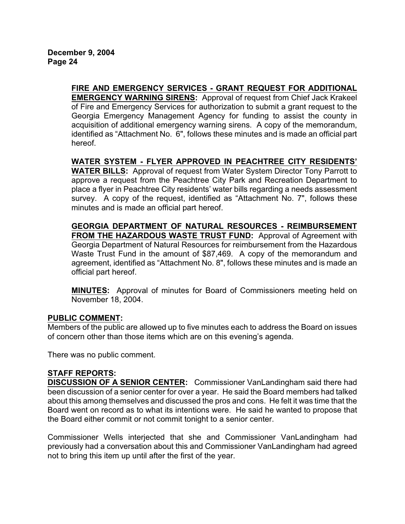**FIRE AND EMERGENCY SERVICES - GRANT REQUEST FOR ADDITIONAL EMERGENCY WARNING SIRENS:** Approval of request from Chief Jack Krakeel of Fire and Emergency Services for authorization to submit a grant request to the Georgia Emergency Management Agency for funding to assist the county in acquisition of additional emergency warning sirens. A copy of the memorandum, identified as "Attachment No. 6", follows these minutes and is made an official part hereof.

**WATER SYSTEM - FLYER APPROVED IN PEACHTREE CITY RESIDENTS' WATER BILLS:** Approval of request from Water System Director Tony Parrott to approve a request from the Peachtree City Park and Recreation Department to place a flyer in Peachtree City residents' water bills regarding a needs assessment survey. A copy of the request, identified as "Attachment No. 7", follows these minutes and is made an official part hereof.

**GEORGIA DEPARTMENT OF NATURAL RESOURCES - REIMBURSEMENT FROM THE HAZARDOUS WASTE TRUST FUND:** Approval of Agreement with Georgia Department of Natural Resources for reimbursement from the Hazardous Waste Trust Fund in the amount of \$87,469. A copy of the memorandum and agreement, identified as "Attachment No. 8", follows these minutes and is made an official part hereof.

**MINUTES:** Approval of minutes for Board of Commissioners meeting held on November 18, 2004.

# **PUBLIC COMMENT:**

Members of the public are allowed up to five minutes each to address the Board on issues of concern other than those items which are on this evening's agenda.

There was no public comment.

# **STAFF REPORTS:**

**DISCUSSION OF A SENIOR CENTER:** Commissioner VanLandingham said there had been discussion of a senior center for over a year. He said the Board members had talked about this among themselves and discussed the pros and cons. He felt it was time that the Board went on record as to what its intentions were. He said he wanted to propose that the Board either commit or not commit tonight to a senior center.

Commissioner Wells interjected that she and Commissioner VanLandingham had previously had a conversation about this and Commissioner VanLandingham had agreed not to bring this item up until after the first of the year.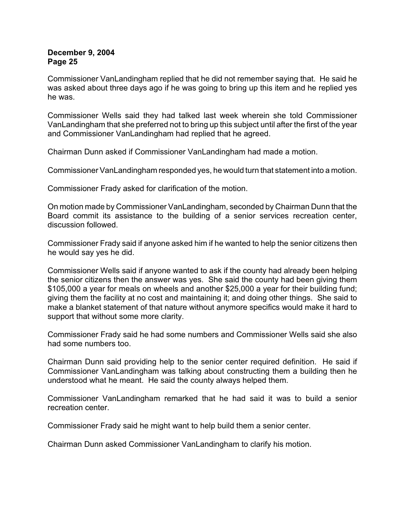Commissioner VanLandingham replied that he did not remember saying that. He said he was asked about three days ago if he was going to bring up this item and he replied yes he was.

Commissioner Wells said they had talked last week wherein she told Commissioner VanLandingham that she preferred not to bring up this subject until after the first of the year and Commissioner VanLandingham had replied that he agreed.

Chairman Dunn asked if Commissioner VanLandingham had made a motion.

Commissioner VanLandingham responded yes, he would turn that statement into a motion.

Commissioner Frady asked for clarification of the motion.

On motion made by Commissioner VanLandingham, seconded by Chairman Dunn that the Board commit its assistance to the building of a senior services recreation center, discussion followed.

Commissioner Frady said if anyone asked him if he wanted to help the senior citizens then he would say yes he did.

Commissioner Wells said if anyone wanted to ask if the county had already been helping the senior citizens then the answer was yes. She said the county had been giving them \$105,000 a year for meals on wheels and another \$25,000 a year for their building fund; giving them the facility at no cost and maintaining it; and doing other things. She said to make a blanket statement of that nature without anymore specifics would make it hard to support that without some more clarity.

Commissioner Frady said he had some numbers and Commissioner Wells said she also had some numbers too.

Chairman Dunn said providing help to the senior center required definition. He said if Commissioner VanLandingham was talking about constructing them a building then he understood what he meant. He said the county always helped them.

Commissioner VanLandingham remarked that he had said it was to build a senior recreation center.

Commissioner Frady said he might want to help build them a senior center.

Chairman Dunn asked Commissioner VanLandingham to clarify his motion.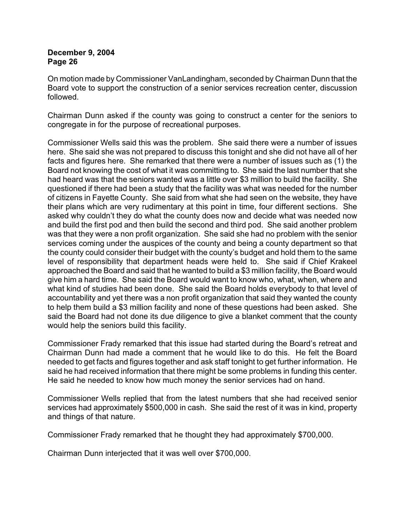On motion made by Commissioner VanLandingham, seconded by Chairman Dunn that the Board vote to support the construction of a senior services recreation center, discussion followed.

Chairman Dunn asked if the county was going to construct a center for the seniors to congregate in for the purpose of recreational purposes.

Commissioner Wells said this was the problem. She said there were a number of issues here. She said she was not prepared to discuss this tonight and she did not have all of her facts and figures here. She remarked that there were a number of issues such as (1) the Board not knowing the cost of what it was committing to. She said the last number that she had heard was that the seniors wanted was a little over \$3 million to build the facility. She questioned if there had been a study that the facility was what was needed for the number of citizens in Fayette County. She said from what she had seen on the website, they have their plans which are very rudimentary at this point in time, four different sections. She asked why couldn't they do what the county does now and decide what was needed now and build the first pod and then build the second and third pod. She said another problem was that they were a non profit organization. She said she had no problem with the senior services coming under the auspices of the county and being a county department so that the county could consider their budget with the county's budget and hold them to the same level of responsibility that department heads were held to. She said if Chief Krakeel approached the Board and said that he wanted to build a \$3 million facility, the Board would give him a hard time. She said the Board would want to know who, what, when, where and what kind of studies had been done. She said the Board holds everybody to that level of accountability and yet there was a non profit organization that said they wanted the county to help them build a \$3 million facility and none of these questions had been asked. She said the Board had not done its due diligence to give a blanket comment that the county would help the seniors build this facility.

Commissioner Frady remarked that this issue had started during the Board's retreat and Chairman Dunn had made a comment that he would like to do this. He felt the Board needed to get facts and figures together and ask staff tonight to get further information. He said he had received information that there might be some problems in funding this center. He said he needed to know how much money the senior services had on hand.

Commissioner Wells replied that from the latest numbers that she had received senior services had approximately \$500,000 in cash. She said the rest of it was in kind, property and things of that nature.

Commissioner Frady remarked that he thought they had approximately \$700,000.

Chairman Dunn interjected that it was well over \$700,000.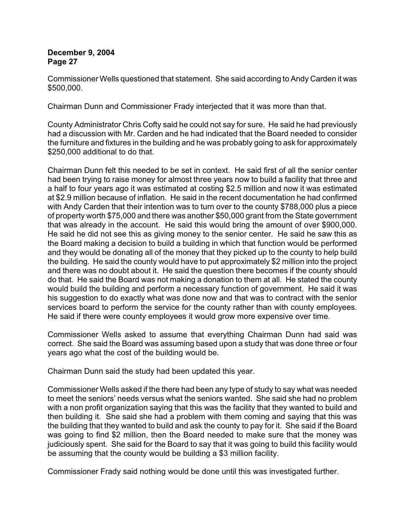Commissioner Wells questioned that statement. She said according to Andy Carden it was \$500,000.

Chairman Dunn and Commissioner Frady interjected that it was more than that.

County Administrator Chris Cofty said he could not say for sure. He said he had previously had a discussion with Mr. Carden and he had indicated that the Board needed to consider the furniture and fixtures in the building and he was probably going to ask for approximately \$250,000 additional to do that.

Chairman Dunn felt this needed to be set in context. He said first of all the senior center had been trying to raise money for almost three years now to build a facility that three and a half to four years ago it was estimated at costing \$2.5 million and now it was estimated at \$2.9 million because of inflation. He said in the recent documentation he had confirmed with Andy Carden that their intention was to turn over to the county \$788,000 plus a piece of property worth \$75,000 and there was another \$50,000 grant from the State government that was already in the account. He said this would bring the amount of over \$900,000. He said he did not see this as giving money to the senior center. He said he saw this as the Board making a decision to build a building in which that function would be performed and they would be donating all of the money that they picked up to the county to help build the building. He said the county would have to put approximately \$2 million into the project and there was no doubt about it. He said the question there becomes if the county should do that. He said the Board was not making a donation to them at all. He stated the county would build the building and perform a necessary function of government. He said it was his suggestion to do exactly what was done now and that was to contract with the senior services board to perform the service for the county rather than with county employees. He said if there were county employees it would grow more expensive over time.

Commissioner Wells asked to assume that everything Chairman Dunn had said was correct. She said the Board was assuming based upon a study that was done three or four years ago what the cost of the building would be.

Chairman Dunn said the study had been updated this year.

Commissioner Wells asked if the there had been any type of study to say what was needed to meet the seniors' needs versus what the seniors wanted. She said she had no problem with a non profit organization saying that this was the facility that they wanted to build and then building it. She said she had a problem with them coming and saying that this was the building that they wanted to build and ask the county to pay for it. She said if the Board was going to find \$2 million, then the Board needed to make sure that the money was judiciously spent. She said for the Board to say that it was going to build this facility would be assuming that the county would be building a \$3 million facility.

Commissioner Frady said nothing would be done until this was investigated further.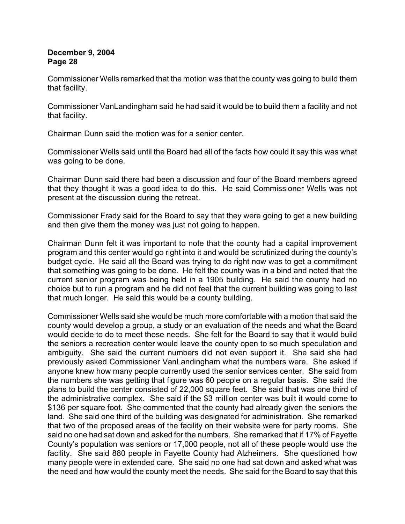Commissioner Wells remarked that the motion was that the county was going to build them that facility.

Commissioner VanLandingham said he had said it would be to build them a facility and not that facility.

Chairman Dunn said the motion was for a senior center.

Commissioner Wells said until the Board had all of the facts how could it say this was what was going to be done.

Chairman Dunn said there had been a discussion and four of the Board members agreed that they thought it was a good idea to do this. He said Commissioner Wells was not present at the discussion during the retreat.

Commissioner Frady said for the Board to say that they were going to get a new building and then give them the money was just not going to happen.

Chairman Dunn felt it was important to note that the county had a capital improvement program and this center would go right into it and would be scrutinized during the county's budget cycle. He said all the Board was trying to do right now was to get a commitment that something was going to be done. He felt the county was in a bind and noted that the current senior program was being held in a 1905 building. He said the county had no choice but to run a program and he did not feel that the current building was going to last that much longer. He said this would be a county building.

Commissioner Wells said she would be much more comfortable with a motion that said the county would develop a group, a study or an evaluation of the needs and what the Board would decide to do to meet those needs. She felt for the Board to say that it would build the seniors a recreation center would leave the county open to so much speculation and ambiguity. She said the current numbers did not even support it. She said she had previously asked Commissioner VanLandingham what the numbers were. She asked if anyone knew how many people currently used the senior services center. She said from the numbers she was getting that figure was 60 people on a regular basis. She said the plans to build the center consisted of 22,000 square feet. She said that was one third of the administrative complex. She said if the \$3 million center was built it would come to \$136 per square foot. She commented that the county had already given the seniors the land. She said one third of the building was designated for administration. She remarked that two of the proposed areas of the facility on their website were for party rooms. She said no one had sat down and asked for the numbers. She remarked that if 17% of Fayette County's population was seniors or 17,000 people, not all of these people would use the facility. She said 880 people in Fayette County had Alzheimers. She questioned how many people were in extended care. She said no one had sat down and asked what was the need and how would the county meet the needs. She said for the Board to say that this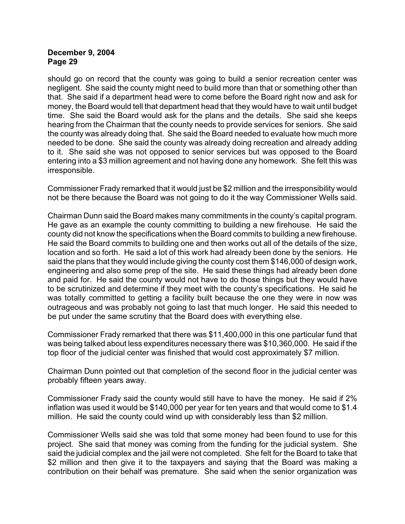should go on record that the county was going to build a senior recreation center was negligent. She said the county might need to build more than that or something other than that. She said if a department head were to come before the Board right now and ask for money, the Board would tell that department head that they would have to wait until budget time. She said the Board would ask for the plans and the details. She said she keeps hearing from the Chairman that the county needs to provide services for seniors. She said the county was already doing that. She said the Board needed to evaluate how much more needed to be done. She said the county was already doing recreation and already adding to it. She said she was not opposed to senior services but was opposed to the Board entering into a \$3 million agreement and not having done any homework. She felt this was irresponsible.

Commissioner Frady remarked that it would just be \$2 million and the irresponsibility would not be there because the Board was not going to do it the way Commissioner Wells said.

Chairman Dunn said the Board makes many commitments in the county's capital program. He gave as an example the county committing to building a new firehouse. He said the county did not know the specifications when the Board commits to building a new firehouse. He said the Board commits to building one and then works out all of the details of the size, location and so forth. He said a lot of this work had already been done by the seniors. He said the plans that they would include giving the county cost them \$146,000 of design work, engineering and also some prep of the site. He said these things had already been done and paid for. He said the county would not have to do those things but they would have to be scrutinized and determine if they meet with the county's specifications. He said he was totally committed to getting a facility built because the one they were in now was outrageous and was probably not going to last that much longer. He said this needed to be put under the same scrutiny that the Board does with everything else.

Commissioner Frady remarked that there was \$11,400,000 in this one particular fund that was being talked about less expenditures necessary there was \$10,360,000. He said if the top floor of the judicial center was finished that would cost approximately \$7 million.

Chairman Dunn pointed out that completion of the second floor in the judicial center was probably fifteen years away.

Commissioner Frady said the county would still have to have the money. He said if 2% inflation was used it would be \$140,000 per year for ten years and that would come to \$1.4 million. He said the county could wind up with considerably less than \$2 million.

Commissioner Wells said she was told that some money had been found to use for this project. She said that money was coming from the funding for the judicial system. She said the judicial complex and the jail were not completed. She felt for the Board to take that \$2 million and then give it to the taxpayers and saying that the Board was making a contribution on their behalf was premature. She said when the senior organization was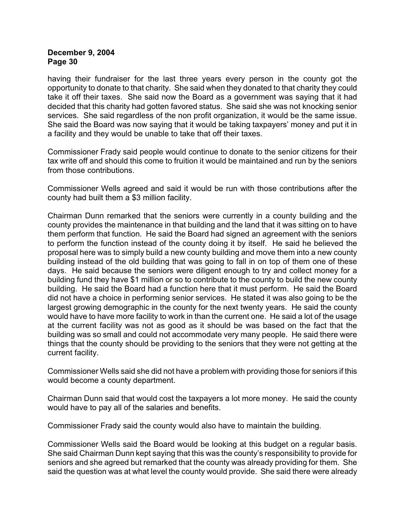having their fundraiser for the last three years every person in the county got the opportunity to donate to that charity. She said when they donated to that charity they could take it off their taxes. She said now the Board as a government was saying that it had decided that this charity had gotten favored status. She said she was not knocking senior services. She said regardless of the non profit organization, it would be the same issue. She said the Board was now saying that it would be taking taxpayers' money and put it in a facility and they would be unable to take that off their taxes.

Commissioner Frady said people would continue to donate to the senior citizens for their tax write off and should this come to fruition it would be maintained and run by the seniors from those contributions.

Commissioner Wells agreed and said it would be run with those contributions after the county had built them a \$3 million facility.

Chairman Dunn remarked that the seniors were currently in a county building and the county provides the maintenance in that building and the land that it was sitting on to have them perform that function. He said the Board had signed an agreement with the seniors to perform the function instead of the county doing it by itself. He said he believed the proposal here was to simply build a new county building and move them into a new county building instead of the old building that was going to fall in on top of them one of these days. He said because the seniors were diligent enough to try and collect money for a building fund they have \$1 million or so to contribute to the county to build the new county building. He said the Board had a function here that it must perform. He said the Board did not have a choice in performing senior services. He stated it was also going to be the largest growing demographic in the county for the next twenty years. He said the county would have to have more facility to work in than the current one. He said a lot of the usage at the current facility was not as good as it should be was based on the fact that the building was so small and could not accommodate very many people. He said there were things that the county should be providing to the seniors that they were not getting at the current facility.

Commissioner Wells said she did not have a problem with providing those for seniors if this would become a county department.

Chairman Dunn said that would cost the taxpayers a lot more money. He said the county would have to pay all of the salaries and benefits.

Commissioner Frady said the county would also have to maintain the building.

Commissioner Wells said the Board would be looking at this budget on a regular basis. She said Chairman Dunn kept saying that this was the county's responsibility to provide for seniors and she agreed but remarked that the county was already providing for them. She said the question was at what level the county would provide. She said there were already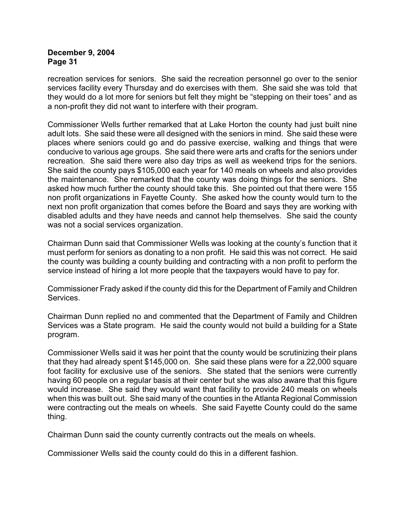recreation services for seniors. She said the recreation personnel go over to the senior services facility every Thursday and do exercises with them. She said she was told that they would do a lot more for seniors but felt they might be "stepping on their toes" and as a non-profit they did not want to interfere with their program.

Commissioner Wells further remarked that at Lake Horton the county had just built nine adult lots. She said these were all designed with the seniors in mind. She said these were places where seniors could go and do passive exercise, walking and things that were conducive to various age groups. She said there were arts and crafts for the seniors under recreation. She said there were also day trips as well as weekend trips for the seniors. She said the county pays \$105,000 each year for 140 meals on wheels and also provides the maintenance. She remarked that the county was doing things for the seniors. She asked how much further the county should take this. She pointed out that there were 155 non profit organizations in Fayette County. She asked how the county would turn to the next non profit organization that comes before the Board and says they are working with disabled adults and they have needs and cannot help themselves. She said the county was not a social services organization.

Chairman Dunn said that Commissioner Wells was looking at the county's function that it must perform for seniors as donating to a non profit. He said this was not correct. He said the county was building a county building and contracting with a non profit to perform the service instead of hiring a lot more people that the taxpayers would have to pay for.

Commissioner Frady asked if the county did this for the Department of Family and Children Services.

Chairman Dunn replied no and commented that the Department of Family and Children Services was a State program. He said the county would not build a building for a State program.

Commissioner Wells said it was her point that the county would be scrutinizing their plans that they had already spent \$145,000 on. She said these plans were for a 22,000 square foot facility for exclusive use of the seniors. She stated that the seniors were currently having 60 people on a regular basis at their center but she was also aware that this figure would increase. She said they would want that facility to provide 240 meals on wheels when this was built out. She said many of the counties in the Atlanta Regional Commission were contracting out the meals on wheels. She said Fayette County could do the same thing.

Chairman Dunn said the county currently contracts out the meals on wheels.

Commissioner Wells said the county could do this in a different fashion.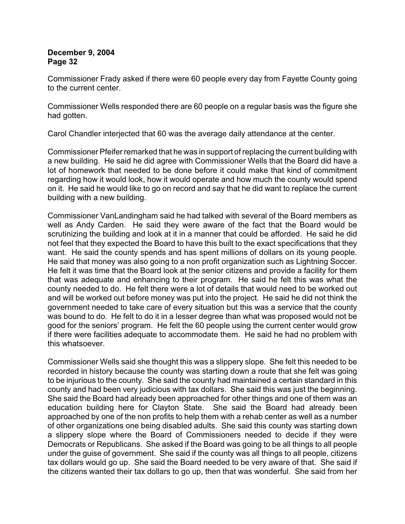Commissioner Frady asked if there were 60 people every day from Fayette County going to the current center.

Commissioner Wells responded there are 60 people on a regular basis was the figure she had gotten.

Carol Chandler interjected that 60 was the average daily attendance at the center.

Commissioner Pfeifer remarked that he was in support of replacing the current building with a new building. He said he did agree with Commissioner Wells that the Board did have a lot of homework that needed to be done before it could make that kind of commitment regarding how it would look, how it would operate and how much the county would spend on it. He said he would like to go on record and say that he did want to replace the current building with a new building.

Commissioner VanLandingham said he had talked with several of the Board members as well as Andy Carden. He said they were aware of the fact that the Board would be scrutinizing the building and look at it in a manner that could be afforded. He said he did not feel that they expected the Board to have this built to the exact specifications that they want. He said the county spends and has spent millions of dollars on its young people. He said that money was also going to a non profit organization such as Lightning Soccer. He felt it was time that the Board look at the senior citizens and provide a facility for them that was adequate and enhancing to their program. He said he felt this was what the county needed to do. He felt there were a lot of details that would need to be worked out and will be worked out before money was put into the project. He said he did not think the government needed to take care of every situation but this was a service that the county was bound to do. He felt to do it in a lesser degree than what was proposed would not be good for the seniors' program. He felt the 60 people using the current center would grow if there were facilities adequate to accommodate them. He said he had no problem with this whatsoever.

Commissioner Wells said she thought this was a slippery slope. She felt this needed to be recorded in history because the county was starting down a route that she felt was going to be injurious to the county. She said the county had maintained a certain standard in this county and had been very judicious with tax dollars. She said this was just the beginning. She said the Board had already been approached for other things and one of them was an education building here for Clayton State. She said the Board had already been approached by one of the non profits to help them with a rehab center as well as a number of other organizations one being disabled adults. She said this county was starting down a slippery slope where the Board of Commissioners needed to decide if they were Democrats or Republicans. She asked if the Board was going to be all things to all people under the guise of government. She said if the county was all things to all people, citizens tax dollars would go up. She said the Board needed to be very aware of that. She said if the citizens wanted their tax dollars to go up, then that was wonderful. She said from her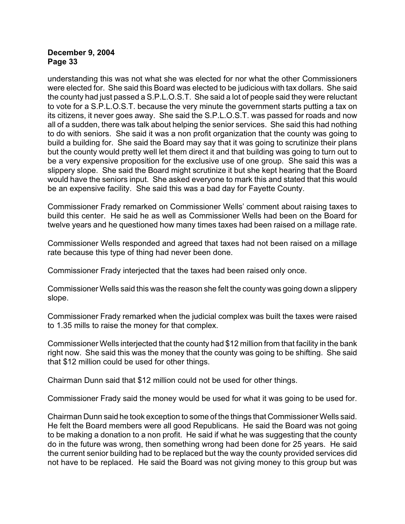understanding this was not what she was elected for nor what the other Commissioners were elected for. She said this Board was elected to be judicious with tax dollars. She said the county had just passed a S.P.L.O.S.T. She said a lot of people said they were reluctant to vote for a S.P.L.O.S.T. because the very minute the government starts putting a tax on its citizens, it never goes away. She said the S.P.L.O.S.T. was passed for roads and now all of a sudden, there was talk about helping the senior services. She said this had nothing to do with seniors. She said it was a non profit organization that the county was going to build a building for. She said the Board may say that it was going to scrutinize their plans but the county would pretty well let them direct it and that building was going to turn out to be a very expensive proposition for the exclusive use of one group. She said this was a slippery slope. She said the Board might scrutinize it but she kept hearing that the Board would have the seniors input. She asked everyone to mark this and stated that this would be an expensive facility. She said this was a bad day for Fayette County.

Commissioner Frady remarked on Commissioner Wells' comment about raising taxes to build this center. He said he as well as Commissioner Wells had been on the Board for twelve years and he questioned how many times taxes had been raised on a millage rate.

Commissioner Wells responded and agreed that taxes had not been raised on a millage rate because this type of thing had never been done.

Commissioner Frady interjected that the taxes had been raised only once.

Commissioner Wells said this was the reason she felt the county was going down a slippery slope.

Commissioner Frady remarked when the judicial complex was built the taxes were raised to 1.35 mills to raise the money for that complex.

Commissioner Wells interjected that the county had \$12 million from that facility in the bank right now. She said this was the money that the county was going to be shifting. She said that \$12 million could be used for other things.

Chairman Dunn said that \$12 million could not be used for other things.

Commissioner Frady said the money would be used for what it was going to be used for.

Chairman Dunn said he took exception to some of the things that Commissioner Wells said. He felt the Board members were all good Republicans. He said the Board was not going to be making a donation to a non profit. He said if what he was suggesting that the county do in the future was wrong, then something wrong had been done for 25 years. He said the current senior building had to be replaced but the way the county provided services did not have to be replaced. He said the Board was not giving money to this group but was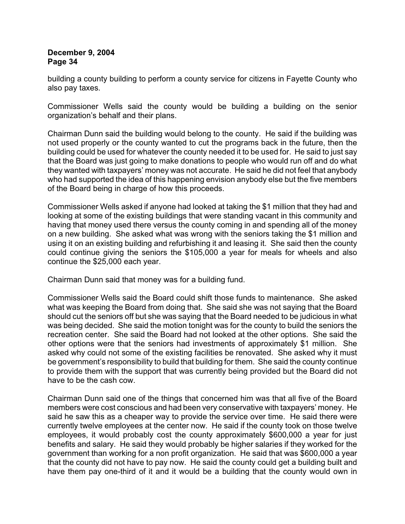building a county building to perform a county service for citizens in Fayette County who also pay taxes.

Commissioner Wells said the county would be building a building on the senior organization's behalf and their plans.

Chairman Dunn said the building would belong to the county. He said if the building was not used properly or the county wanted to cut the programs back in the future, then the building could be used for whatever the county needed it to be used for. He said to just say that the Board was just going to make donations to people who would run off and do what they wanted with taxpayers' money was not accurate. He said he did not feel that anybody who had supported the idea of this happening envision anybody else but the five members of the Board being in charge of how this proceeds.

Commissioner Wells asked if anyone had looked at taking the \$1 million that they had and looking at some of the existing buildings that were standing vacant in this community and having that money used there versus the county coming in and spending all of the money on a new building. She asked what was wrong with the seniors taking the \$1 million and using it on an existing building and refurbishing it and leasing it. She said then the county could continue giving the seniors the \$105,000 a year for meals for wheels and also continue the \$25,000 each year.

Chairman Dunn said that money was for a building fund.

Commissioner Wells said the Board could shift those funds to maintenance. She asked what was keeping the Board from doing that. She said she was not saying that the Board should cut the seniors off but she was saying that the Board needed to be judicious in what was being decided. She said the motion tonight was for the county to build the seniors the recreation center. She said the Board had not looked at the other options. She said the other options were that the seniors had investments of approximately \$1 million. She asked why could not some of the existing facilities be renovated. She asked why it must be government's responsibility to build that building for them. She said the county continue to provide them with the support that was currently being provided but the Board did not have to be the cash cow.

Chairman Dunn said one of the things that concerned him was that all five of the Board members were cost conscious and had been very conservative with taxpayers' money. He said he saw this as a cheaper way to provide the service over time. He said there were currently twelve employees at the center now. He said if the county took on those twelve employees, it would probably cost the county approximately \$600,000 a year for just benefits and salary. He said they would probably be higher salaries if they worked for the government than working for a non profit organization. He said that was \$600,000 a year that the county did not have to pay now. He said the county could get a building built and have them pay one-third of it and it would be a building that the county would own in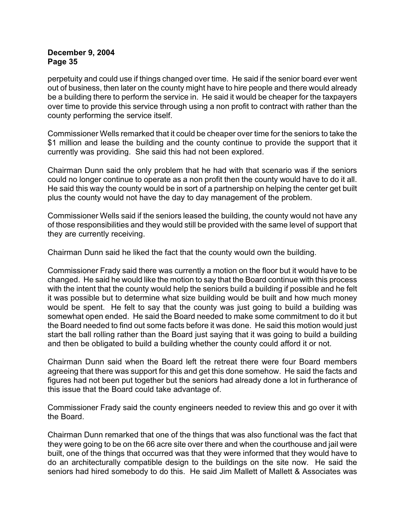perpetuity and could use if things changed over time. He said if the senior board ever went out of business, then later on the county might have to hire people and there would already be a building there to perform the service in. He said it would be cheaper for the taxpayers over time to provide this service through using a non profit to contract with rather than the county performing the service itself.

Commissioner Wells remarked that it could be cheaper over time for the seniors to take the \$1 million and lease the building and the county continue to provide the support that it currently was providing. She said this had not been explored.

Chairman Dunn said the only problem that he had with that scenario was if the seniors could no longer continue to operate as a non profit then the county would have to do it all. He said this way the county would be in sort of a partnership on helping the center get built plus the county would not have the day to day management of the problem.

Commissioner Wells said if the seniors leased the building, the county would not have any of those responsibilities and they would still be provided with the same level of support that they are currently receiving.

Chairman Dunn said he liked the fact that the county would own the building.

Commissioner Frady said there was currently a motion on the floor but it would have to be changed. He said he would like the motion to say that the Board continue with this process with the intent that the county would help the seniors build a building if possible and he felt it was possible but to determine what size building would be built and how much money would be spent. He felt to say that the county was just going to build a building was somewhat open ended. He said the Board needed to make some commitment to do it but the Board needed to find out some facts before it was done. He said this motion would just start the ball rolling rather than the Board just saying that it was going to build a building and then be obligated to build a building whether the county could afford it or not.

Chairman Dunn said when the Board left the retreat there were four Board members agreeing that there was support for this and get this done somehow. He said the facts and figures had not been put together but the seniors had already done a lot in furtherance of this issue that the Board could take advantage of.

Commissioner Frady said the county engineers needed to review this and go over it with the Board.

Chairman Dunn remarked that one of the things that was also functional was the fact that they were going to be on the 66 acre site over there and when the courthouse and jail were built, one of the things that occurred was that they were informed that they would have to do an architecturally compatible design to the buildings on the site now. He said the seniors had hired somebody to do this. He said Jim Mallett of Mallett & Associates was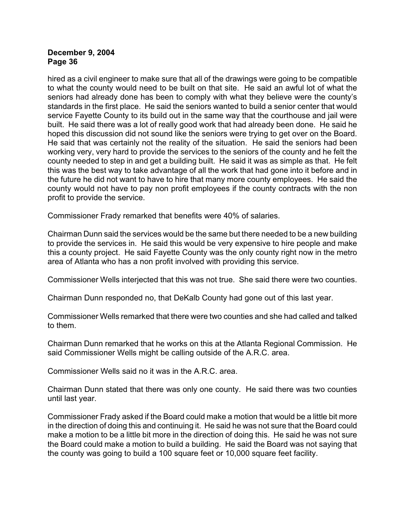hired as a civil engineer to make sure that all of the drawings were going to be compatible to what the county would need to be built on that site. He said an awful lot of what the seniors had already done has been to comply with what they believe were the county's standards in the first place. He said the seniors wanted to build a senior center that would service Fayette County to its build out in the same way that the courthouse and jail were built. He said there was a lot of really good work that had already been done. He said he hoped this discussion did not sound like the seniors were trying to get over on the Board. He said that was certainly not the reality of the situation. He said the seniors had been working very, very hard to provide the services to the seniors of the county and he felt the county needed to step in and get a building built. He said it was as simple as that. He felt this was the best way to take advantage of all the work that had gone into it before and in the future he did not want to have to hire that many more county employees. He said the county would not have to pay non profit employees if the county contracts with the non profit to provide the service.

Commissioner Frady remarked that benefits were 40% of salaries.

Chairman Dunn said the services would be the same but there needed to be a new building to provide the services in. He said this would be very expensive to hire people and make this a county project. He said Fayette County was the only county right now in the metro area of Atlanta who has a non profit involved with providing this service.

Commissioner Wells interjected that this was not true. She said there were two counties.

Chairman Dunn responded no, that DeKalb County had gone out of this last year.

Commissioner Wells remarked that there were two counties and she had called and talked to them.

Chairman Dunn remarked that he works on this at the Atlanta Regional Commission. He said Commissioner Wells might be calling outside of the A.R.C. area.

Commissioner Wells said no it was in the A.R.C. area.

Chairman Dunn stated that there was only one county. He said there was two counties until last year.

Commissioner Frady asked if the Board could make a motion that would be a little bit more in the direction of doing this and continuing it. He said he was not sure that the Board could make a motion to be a little bit more in the direction of doing this. He said he was not sure the Board could make a motion to build a building. He said the Board was not saying that the county was going to build a 100 square feet or 10,000 square feet facility.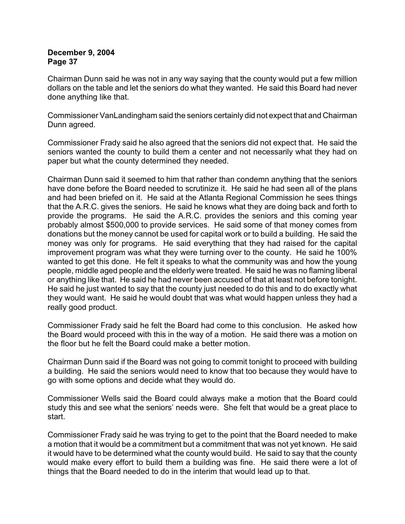Chairman Dunn said he was not in any way saying that the county would put a few million dollars on the table and let the seniors do what they wanted. He said this Board had never done anything like that.

Commissioner VanLandingham said the seniors certainly did not expect that and Chairman Dunn agreed.

Commissioner Frady said he also agreed that the seniors did not expect that. He said the seniors wanted the county to build them a center and not necessarily what they had on paper but what the county determined they needed.

Chairman Dunn said it seemed to him that rather than condemn anything that the seniors have done before the Board needed to scrutinize it. He said he had seen all of the plans and had been briefed on it. He said at the Atlanta Regional Commission he sees things that the A.R.C. gives the seniors. He said he knows what they are doing back and forth to provide the programs. He said the A.R.C. provides the seniors and this coming year probably almost \$500,000 to provide services. He said some of that money comes from donations but the money cannot be used for capital work or to build a building. He said the money was only for programs. He said everything that they had raised for the capital improvement program was what they were turning over to the county. He said he 100% wanted to get this done. He felt it speaks to what the community was and how the young people, middle aged people and the elderly were treated. He said he was no flaming liberal or anything like that. He said he had never been accused of that at least not before tonight. He said he just wanted to say that the county just needed to do this and to do exactly what they would want. He said he would doubt that was what would happen unless they had a really good product.

Commissioner Frady said he felt the Board had come to this conclusion. He asked how the Board would proceed with this in the way of a motion. He said there was a motion on the floor but he felt the Board could make a better motion.

Chairman Dunn said if the Board was not going to commit tonight to proceed with building a building. He said the seniors would need to know that too because they would have to go with some options and decide what they would do.

Commissioner Wells said the Board could always make a motion that the Board could study this and see what the seniors' needs were. She felt that would be a great place to start.

Commissioner Frady said he was trying to get to the point that the Board needed to make a motion that it would be a commitment but a commitment that was not yet known. He said it would have to be determined what the county would build. He said to say that the county would make every effort to build them a building was fine. He said there were a lot of things that the Board needed to do in the interim that would lead up to that.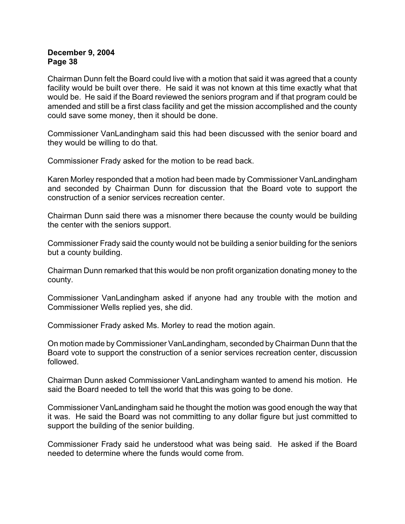Chairman Dunn felt the Board could live with a motion that said it was agreed that a county facility would be built over there. He said it was not known at this time exactly what that would be. He said if the Board reviewed the seniors program and if that program could be amended and still be a first class facility and get the mission accomplished and the county could save some money, then it should be done.

Commissioner VanLandingham said this had been discussed with the senior board and they would be willing to do that.

Commissioner Frady asked for the motion to be read back.

Karen Morley responded that a motion had been made by Commissioner VanLandingham and seconded by Chairman Dunn for discussion that the Board vote to support the construction of a senior services recreation center.

Chairman Dunn said there was a misnomer there because the county would be building the center with the seniors support.

Commissioner Frady said the county would not be building a senior building for the seniors but a county building.

Chairman Dunn remarked that this would be non profit organization donating money to the county.

Commissioner VanLandingham asked if anyone had any trouble with the motion and Commissioner Wells replied yes, she did.

Commissioner Frady asked Ms. Morley to read the motion again.

On motion made by Commissioner VanLandingham, seconded by Chairman Dunn that the Board vote to support the construction of a senior services recreation center, discussion followed.

Chairman Dunn asked Commissioner VanLandingham wanted to amend his motion. He said the Board needed to tell the world that this was going to be done.

Commissioner VanLandingham said he thought the motion was good enough the way that it was. He said the Board was not committing to any dollar figure but just committed to support the building of the senior building.

Commissioner Frady said he understood what was being said. He asked if the Board needed to determine where the funds would come from.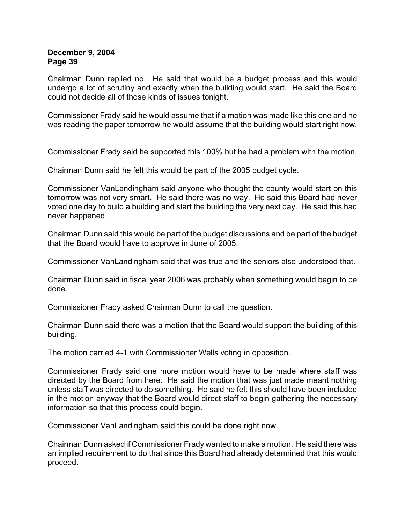Chairman Dunn replied no. He said that would be a budget process and this would undergo a lot of scrutiny and exactly when the building would start. He said the Board could not decide all of those kinds of issues tonight.

Commissioner Frady said he would assume that if a motion was made like this one and he was reading the paper tomorrow he would assume that the building would start right now.

Commissioner Frady said he supported this 100% but he had a problem with the motion.

Chairman Dunn said he felt this would be part of the 2005 budget cycle.

Commissioner VanLandingham said anyone who thought the county would start on this tomorrow was not very smart. He said there was no way. He said this Board had never voted one day to build a building and start the building the very next day. He said this had never happened.

Chairman Dunn said this would be part of the budget discussions and be part of the budget that the Board would have to approve in June of 2005.

Commissioner VanLandingham said that was true and the seniors also understood that.

Chairman Dunn said in fiscal year 2006 was probably when something would begin to be done.

Commissioner Frady asked Chairman Dunn to call the question.

Chairman Dunn said there was a motion that the Board would support the building of this building.

The motion carried 4-1 with Commissioner Wells voting in opposition.

Commissioner Frady said one more motion would have to be made where staff was directed by the Board from here. He said the motion that was just made meant nothing unless staff was directed to do something. He said he felt this should have been included in the motion anyway that the Board would direct staff to begin gathering the necessary information so that this process could begin.

Commissioner VanLandingham said this could be done right now.

Chairman Dunn asked if Commissioner Frady wanted to make a motion. He said there was an implied requirement to do that since this Board had already determined that this would proceed.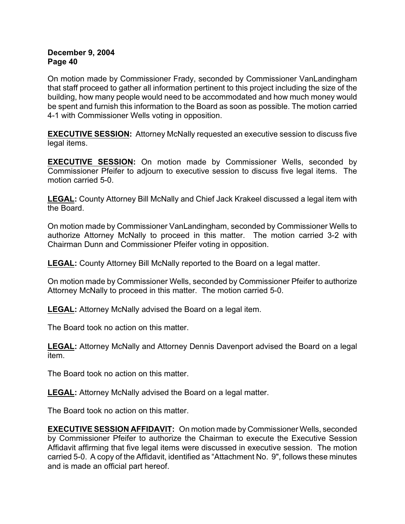On motion made by Commissioner Frady, seconded by Commissioner VanLandingham that staff proceed to gather all information pertinent to this project including the size of the building, how many people would need to be accommodated and how much money would be spent and furnish this information to the Board as soon as possible. The motion carried 4-1 with Commissioner Wells voting in opposition.

**EXECUTIVE SESSION:** Attorney McNally requested an executive session to discuss five legal items.

**EXECUTIVE SESSION:** On motion made by Commissioner Wells, seconded by Commissioner Pfeifer to adjourn to executive session to discuss five legal items. The motion carried 5-0.

**LEGAL:** County Attorney Bill McNally and Chief Jack Krakeel discussed a legal item with the Board.

On motion made by Commissioner VanLandingham, seconded by Commissioner Wells to authorize Attorney McNally to proceed in this matter. The motion carried 3-2 with Chairman Dunn and Commissioner Pfeifer voting in opposition.

**LEGAL:** County Attorney Bill McNally reported to the Board on a legal matter.

On motion made by Commissioner Wells, seconded by Commissioner Pfeifer to authorize Attorney McNally to proceed in this matter. The motion carried 5-0.

**LEGAL:** Attorney McNally advised the Board on a legal item.

The Board took no action on this matter.

**LEGAL:** Attorney McNally and Attorney Dennis Davenport advised the Board on a legal item.

The Board took no action on this matter.

**LEGAL:** Attorney McNally advised the Board on a legal matter.

The Board took no action on this matter.

**EXECUTIVE SESSION AFFIDAVIT:** On motion made by Commissioner Wells, seconded by Commissioner Pfeifer to authorize the Chairman to execute the Executive Session Affidavit affirming that five legal items were discussed in executive session. The motion carried 5-0.A copy of the Affidavit, identified as "Attachment No. 9", follows these minutes and is made an official part hereof.